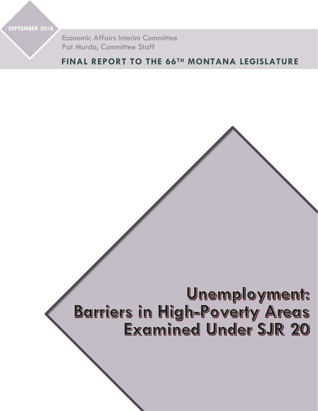**SEPTEMBER 2018**

Economic Affairs Interim Committee Pat Murdo, Committee Staff

## **FINAL REPORT TO THE 66TH MONTANA LEGISLATURE**

# Unemployment: **Barriers in High-Poverty Areas Examined Under SJR 20**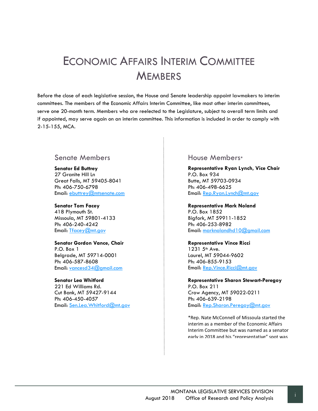# <span id="page-1-0"></span>ECONOMIC AFFAIRS INTERIM COMMITTEE **MEMBERS**

Before the close of each legislative session, the House and Senate leadership appoint lawmakers to interim committees. The members of the Economic Affairs Interim Committee, like most other interim committees, serve one 20-month term. Members who are reelected to the Legislature, subject to overall term limits and if appointed, may serve again on an interim committee. This information is included in order to comply with 2-15-155, MCA.

## Senate Members

**Senator Ed Buttrey** 27 Granite Hill Ln Great Falls, MT 59405-8041 Ph: 406-750-6798 Email: [ebuttrey@mtsenate.com](mailto:ebuttrey@mtsenate.com)

#### **Senator Tom Facey**

418 Plymouth St. Missoula, MT 59801-4133 Ph: 406-240-4242 Email: [Tfacey@mt.gov](mailto:Tfacey@mt.gov)

#### **Senator Gordon Vance, Chair**

P.O. Box 1 Belgrade, MT 59714-0001 Ph: 406-587-8608 Email: [vancesd34@gmail.com](mailto:vancesd34@gmail.com)

#### **Senator Lea Whitford**

221 Ed Williams Rd. Cut Bank, MT 59427-9144 Ph: 406-450-4057 Email: [Sen.Lea.Whitford@mt.gov](mailto:Sen.Lea.Whitford@mt.gov)

## House Members\*

**Representative Ryan Lynch, Vice Chair** P.O. Box 934 Butte, MT 59703-0934 Ph: 406-498-6625 Email: [Rep.Ryan.Lynch@mt.gov](mailto:Rep.Ryan.Lynch@mt.gov)

#### **Representative Mark Noland**

P.O. Box 1852 Bigfork, MT 59911-1852 Ph: 406-253-8982 Email: [marknolandhd10@gmail.com](mailto:marknolandhd10@gmail.com)

### **Representative Vince Ricci**

1231 5<sup>th</sup> Ave. Laurel, MT 59044-9602 Ph: 406-855-9153 Email: [Rep.Vince.Ricci@mt.gov](mailto:Rep.Vince.Ricci@mt.gov)

#### **Representative Sharon Stewart-Peregoy** P.O. Box 211 Crow Agency, MT 59022-0211 Ph: 406-639-2198 Email: [Rep.Sharon.Peregoy@mt.gov](mailto:Rep.Sharon.Peregoy@mt.gov)

\*Rep. Nate McConnell of Missoula started the interim as a member of the Economic Affairs Interim Committee but was named as a senator early in 2018 and his "representative" spot was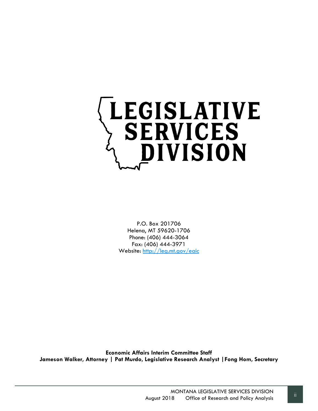

P.O. Box 201706 Helena, MT 59620-1706 Phone: (406) 444-3064 Fax: (406) 444-3971 Website:<http://leg.mt.gov/eaic>

**Economic Affairs Interim Committee Staff Jameson Walker, Attorney | Pat Murdo, Legislative Research Analyst |Fong Hom, Secretary**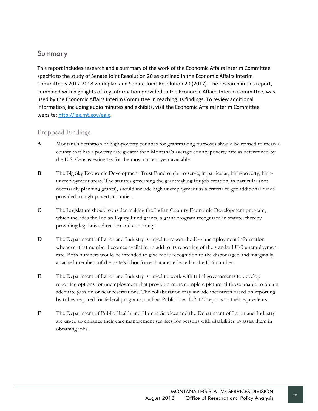## <span id="page-4-0"></span>Summary

This report includes research and a summary of the work of the Economic Affairs Interim Committee specific to the study of Senate Joint Resolution 20 as outlined in the Economic Affairs Interim Committee's 2017-2018 work plan and Senate Joint Resolution 20 (2017). The research in this report, combined with highlights of key information provided to the Economic Affairs Interim Committee, was used by the Economic Affairs Interim Committee in reaching its findings. To review additional information, including audio minutes and exhibits, visit the Economic Affairs Interim Committee website: [http://leg.mt.gov/eaic.](http://leg.mt.gov/eaic)

## <span id="page-4-1"></span>Proposed Findings

- **A** Montana's definition of high-poverty counties for grantmaking purposes should be revised to mean a county that has a poverty rate greater than Montana's average county poverty rate as determined by the U.S. Census estimates for the most current year available.
- **B** The Big Sky Economic Development Trust Fund ought to serve, in particular, high-poverty, highunemployment areas. The statutes governing the grantmaking for job creation, in particular (not necessarily planning grants), should include high unemployment as a criteria to get additional funds provided to high-poverty counties.
- **C** The Legislature should consider making the Indian Country Economic Development program, which includes the Indian Equity Fund grants, a grant program recognized in statute, thereby providing legislative direction and continuity.
- **D** The Department of Labor and Industry is urged to report the U-6 unemployment information whenever that number becomes available, to add to its reporting of the standard U-3 unemployment rate. Both numbers would be intended to give more recognition to the discouraged and marginally attached members of the state's labor force that are reflected in the U-6 number.
- **E** The Department of Labor and Industry is urged to work with tribal governments to develop reporting options for unemployment that provide a more complete picture of those unable to obtain adequate jobs on or near reservations. The collaboration may include incentives based on reporting by tribes required for federal programs, such as Public Law 102-477 reports or their equivalents.
- **F** The Department of Public Health and Human Services and the Department of Labor and Industry are urged to enhance their case management services for persons with disabilities to assist them in obtaining jobs.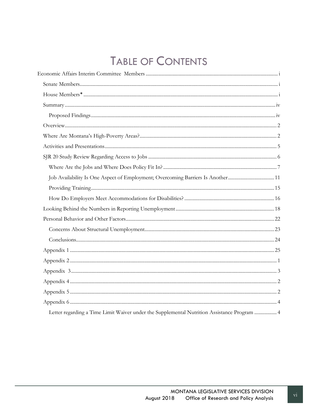# **TABLE OF CONTENTS**

| Job Availability Is One Aspect of Employment; Overcoming Barriers Is Another11              |  |
|---------------------------------------------------------------------------------------------|--|
|                                                                                             |  |
|                                                                                             |  |
|                                                                                             |  |
|                                                                                             |  |
|                                                                                             |  |
|                                                                                             |  |
|                                                                                             |  |
|                                                                                             |  |
|                                                                                             |  |
|                                                                                             |  |
|                                                                                             |  |
|                                                                                             |  |
| Letter regarding a Time Limit Waiver under the Supplemental Nutrition Assistance Program  4 |  |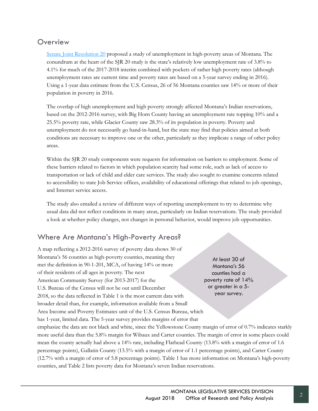## <span id="page-7-0"></span>**Overview**

[Senate Joint Resolution 20](https://leg.mt.gov/bills/2017/billpdf/SB0020.pdf) proposed a study of unemployment in high-poverty areas of Montana. The conundrum at the heart of the SJR 20 study is the state's relatively low unemployment rate of 3.8% to 4.1% for much of the 2017-2018 interim combined with pockets of rather high poverty rates (although unemployment rates are current time and poverty rates are based on a 5-year survey ending in 2016). Using a 1-year data estimate from the U.S. Census, 26 of 56 Montana counties saw 14% or more of their population in poverty in 2016.

The overlap of high unemployment and high poverty strongly affected Montana's Indian reservations, based on the 2012-2016 survey, with Big Horn County having an unemployment rate topping 10% and a 25.5% poverty rate, while Glacier County saw 28.3% of its population in poverty. Poverty and unemployment do not necessarily go hand-in-hand, but the state may find that policies aimed at both conditions are necessary to improve one or the other, particularly as they implicate a range of other policy areas.

Within the SJR 20 study components were requests for information on barriers to employment. Some of these barriers related to factors in which population scarcity had some role, such as lack of access to transportation or lack of child and elder care services. The study also sought to examine concerns related to accessibility to state Job Service offices, availability of educational offerings that related to job openings, and Internet service access.

The study also entailed a review of different ways of reporting unemployment to try to determine why usual data did not reflect conditions in many areas, particularly on Indian reservations. The study provided a look at whether policy changes, not changes in personal behavior, would improve job opportunities.

## <span id="page-7-1"></span>Where Are Montana's High-Poverty Areas?

A map reflecting a 2012-2016 survey of poverty data shows 30 of Montana's 56 counties as high-poverty counties, meaning they met the definition in 90-1-201, MCA, of having 14% or more of their residents of all ages in poverty. The next American Community Survey (for 2013-2017) for the U.S. Bureau of the Census will not be out until December 2018, so the data reflected in Table 1 is the most current data with broader detail than, for example, information available from a Small Area Income and Poverty Estimates unit of the U.S. Census Bureau, which has 1-year, limited data. The 5-year survey provides margins of error that

At least 30 of Montana's 56 counties had a poverty rate of 14% or greater in a 5 year survey.

emphasize the data are not black and white, since the Yellowstone County margin of error of 0.7% indicates starkly more useful data than the 5.8% margin for Wibaux and Carter counties. The margin of error in some places could mean the county actually had above a 14% rate, including Flathead County (13.8% with a margin of error of 1.6 percentage points), Gallatin County (13.5% with a margin of error of 1.1 percentage points), and Carter County (12.7% with a margin of error of 5.8 percentage points). Table 1 has more information on Montana's high-poverty counties, and Table 2 lists poverty data for Montana's seven Indian reservations.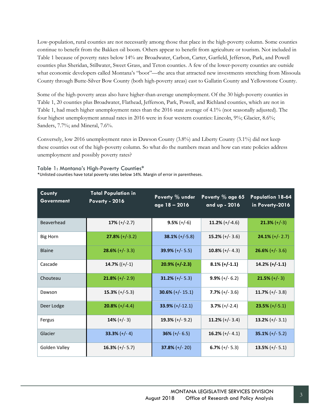Low-population, rural counties are not necessarily among those that place in the high-poverty column. Some counties continue to benefit from the Bakken oil boom. Others appear to benefit from agriculture or tourism. Not included in Table 1 because of poverty rates below 14% are Broadwater, Carbon, Carter, Garfield, Jefferson, Park, and Powell counties plus Sheridan, Stillwater, Sweet Grass, and Teton counties. A few of the lower-poverty counties are outside what economic developers called Montana's "boot"—the area that attracted new investments stretching from Missoula County through Butte-Silver Bow County (both high-poverty areas) east to Gallatin County and Yellowstone County.

Some of the high-poverty areas also have higher-than-average unemployment. Of the 30 high-poverty counties in Table 1, 20 counties plus Broadwater, Flathead, Jefferson, Park, Powell, and Richland counties, which are not in Table 1, had much higher unemployment rates than the 2016 state average of 4.1% (not seasonally adjusted). The four highest unemployment annual rates in 2016 were in four western counties: Lincoln, 9%; Glacier, 8.6%; Sanders, 7.7%; and Mineral, 7.6%.

Conversely, low 2016 unemployment rates in Dawson County (3.8%) and Liberty County (3.1%) did not keep these counties out of the high-poverty column. So what do the numbers mean and how can state policies address unemployment and possibly poverty rates?

Table 1: Montana's High-Poverty Counties\* \*Unlisted counties have total poverty rates below 14%. Margin of error in parentheses.

| County<br><b>Government</b> | <b>Total Population in</b><br><b>Poverty - 2016</b> | Poverty % under<br>age 18 - 2016 | Poverty % age 65<br>and up - 2016 | <b>Population 18-64</b><br>in Poverty-2016 |
|-----------------------------|-----------------------------------------------------|----------------------------------|-----------------------------------|--------------------------------------------|
| Beaverhead                  | $17\% (+/-2.7)$                                     | $9.5\% (+/-6)$                   | $11.2\% (+/-4.6)$                 | $21.3\% (+/-3)$                            |
| <b>Big Horn</b>             | $27.8\% (+/-3.2)$                                   | $38.1\% (+/-5.8)$                | $15.2\% (+/- 3.6)$                | $24.1\% (+/- 2.7)$                         |
| Blaine                      | $28.6\%$ (+/- 3.3)                                  | 39.9% $(+/- 5.5)$                | $10.8\%$ (+/- 4.3)                | $26.6\%$ (+/- 3.6)                         |
| Cascade                     | 14.7% $((+/-1)$                                     | $20.9\%$ (+/-2.3)                | $8.1\%$ (+/-1.1)                  | $14.2\%$ (+/-1.1)                          |
| Chouteau                    | $21.8\%$ (+/- 2.9)                                  | 31.2% $(+/- 5.3)$                | $9.9\% (+/- 6.2)$                 | $21.5\% (+/- 3)$                           |
| Dawson                      | $15.3% (+/-5.3)$                                    | $30.6\%$ (+/- 15.1)              | $7.7\%$ (+/- 3.6)                 | 11.7% $(+/- 3.8)$                          |
| Deer Lodge                  | $20.8\% (+/-4.4)$                                   | $33.9\% (+/-12.1)$               | $3.7\% (+/-2.4)$                  | $23.5\% (+/-5.1)$                          |
| Fergus                      | 14% $(+/- 3)$                                       | 19.3% $(+/- 9.2)$                | 11.2% $(+/- 3.4)$                 | 13.2% $(+/- 3.1)$                          |
| Glacier                     | $33.3% (+/- 4)$                                     | $36\% (+/- 6.5)$                 | 16.2% $(+/- 4.1)$                 | 35.1% $(+/- 5.2)$                          |
| Golden Valley               | $16.3\% (+/- 5.7)$                                  | $37.8\% (+/- 20)$                | 6.7% $(+/- 5.3)$                  | 13.5% $(+/- 5.1)$                          |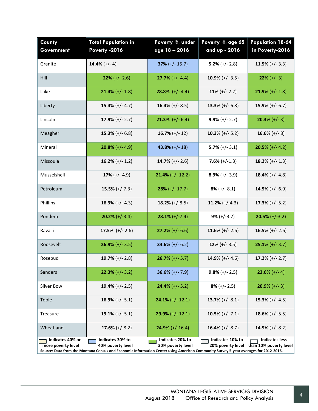| County<br>Government                   | <b>Total Population in</b><br>Poverty -2016                                                                                                                                  | Poverty % under<br>age $18 - 2016$    | Poverty % age 65<br>and up - 2016     | <b>Population 18-64</b><br>in Poverty-2016      |
|----------------------------------------|------------------------------------------------------------------------------------------------------------------------------------------------------------------------------|---------------------------------------|---------------------------------------|-------------------------------------------------|
| Granite                                | 14.4% $(+/- 4)$                                                                                                                                                              | $37\% (+/- 15.7)$                     | $5.2\%$ (+/- 2.8)                     | 11.5% $(+/- 3.3)$                               |
| Hill                                   | $22\% (+/- 2.6)$                                                                                                                                                             | $27.7\% (+/- 4.4)$                    | $10.9\%$ (+/- 3.5)                    | $22\% (+/- 3)$                                  |
| Lake                                   | $21.4\%$ (+/- 1.8)                                                                                                                                                           | 28.8% $(+/- 4.4)$                     | 11% $(+/- 2.2)$                       | $21.9\% (+/- 1.8)$                              |
| Liberty                                | 15.4% $(+/- 4.7)$                                                                                                                                                            | 16.4% $(+/- 8.5)$                     | 13.3% $(+/- 6.8)$                     | 15.9% $(+/- 6.7)$                               |
| Lincoln                                | $17.9\% (+/- 2.7)$                                                                                                                                                           | <b>21.3%</b> $(+/- 6.4)$              | $9.9\% (+/- 2.7)$                     | $20.3\% (+/- 3)$                                |
| Meagher                                | 15.3% $(+/- 6.8)$                                                                                                                                                            | 16.7% $(+/- 12)$                      | 10.3% $(+/- 5.2)$                     | 16.6% $(+/- 8)$                                 |
| Mineral                                | $20.8\%$ (+/- 4.9)                                                                                                                                                           | 43.8% $(+/- 18)$                      | $5.7\%$ (+/- 3.1)                     | $20.5\%$ (+/- 4.2)                              |
| Missoula                               | 16.2% $(+/- 1,2)$                                                                                                                                                            | 14.7% $(+/- 2.6)$                     | $7.6\% (+/-1.3)$                      | 18.2% $(+/- 1.3)$                               |
| Musselshell                            | 17% $(+/- 4.9)$                                                                                                                                                              | $21.4\%$ (+/- 12.2)                   | $8.9\%$ (+/- 3.9)                     | 18.4% $(+/- 4.8)$                               |
| Petroleum                              | $15.5\% (+/-7.3)$                                                                                                                                                            | $28\% (+/- 17.7)$                     | $8\%$ (+/- 8.1)                       | 14.5% $(+/- 6.9)$                               |
| <b>Phillips</b>                        | 16.3% $(+/- 4.3)$                                                                                                                                                            | 18.2% $(+/-8.5)$                      | 11.2% $(+/-4.3)$                      | $17.3\%$ (+/- 5.2)                              |
| Pondera                                | $20.2% (+/-3.4)$                                                                                                                                                             | $28.1\% (+/-7.4)$                     | $9\% (+/-3.7)$                        | $20.5\% (+/-3.2)$                               |
| Ravalli                                | 17.5% $(+/- 2.6)$                                                                                                                                                            | $27.2\% (+/- 6.6)$                    | 11.6% $(+/- 2.6)$                     | 16.5% $(+/- 2.6)$                               |
| Roosevelt                              | $26.9\% (+/- 3.5)$                                                                                                                                                           | 34.6% $(+/- 6.2)$                     | $12\% (+/- 3.5)$                      | $25.1\% (+/- 3.7)$                              |
| Rosebud                                | 19.7% $(+/- 2.8)$                                                                                                                                                            | $26.7\%$ (+/-5.7)                     | 14.9% $(+/- 4.6)$                     | $17.2\% (+/- 2.7)$                              |
| <b>Sanders</b>                         | $22.3% (+/- 3.2)$                                                                                                                                                            | $36.6\% (+/- 7.9)$                    | $9.8\% (+/- 2.5)$                     | $23.6\% (+/- 4)$                                |
| Silver Bow                             | 19.4% $(+/- 2.5)$                                                                                                                                                            | $24.4\%$ (+/- 5.2)                    | $8\% (+/- 2.5)$                       | $20.9% (+/- 3)$                                 |
| Toole                                  | $16.9\% (+/- 5.1)$                                                                                                                                                           | $24.1\%$ (+/- 12.1)                   | 13.7% $(+/- 8.1)$                     | $15.3\% (+/- 4.5)$                              |
| Treasure                               | 19.1% $(+/- 5.1)$                                                                                                                                                            | $29.9\% (+/- 12.1)$                   | 10.5% $(+/- 7.1)$                     | $18.6\% (+/- 5.5)$                              |
| Wheatland                              | 17.6% $(+/-8.2)$                                                                                                                                                             | $24.9\%$ (+/-16.4)                    | 16.4% $(+/- 8.7)$                     | 14.9% $(+/- 8.2)$                               |
| Indicates 40% or<br>more poverty level | Indicates 30% to<br>40% poverty level<br>Source: Data from the Montana Census and Economic Information Center using American Community Survey 5-year averages for 2012-2016. | Indicates 20% to<br>30% poverty level | Indicates 10% to<br>20% poverty level | <b>Indicates less</b><br>than 10% poverty level |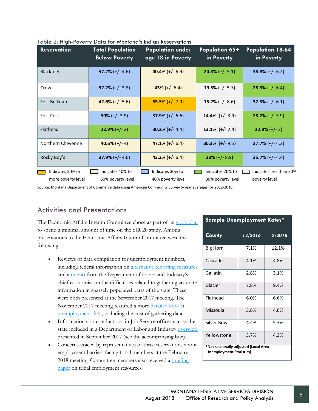| <b>Reservation</b> | <b>Total Population</b><br><b>Below Poverty</b> | <b>Population under</b><br>age 18 in Poverty | Population 65+<br>in Poverty | <b>Population 18-64</b><br>in Poverty |
|--------------------|-------------------------------------------------|----------------------------------------------|------------------------------|---------------------------------------|
| <b>Blackfeet</b>   | 37.7% $(+/- 4.6)$                               | 40.4% $(+/- 6.9)$                            | $20.8\%$ (+/- 5.1)           | $38.8\% (+/- 6.2)$                    |
| Crow               | 32.2% $(+/- 3.8)$                               | $43\% (+/- 6.4)$                             | 19.5% $(+/- 5.7)$            | $28.3\% (+/- 6.4)$                    |
| Fort Belknap       | 42.6% $(+/- 5.6)$                               | $55.5\%$ (+/- 7.9)                           | 15.2% $(+/- 8.6)$            | $37.3\% (+/- 6.1)$                    |
| <b>Fort Peck</b>   | $30\% (+/- 3.9)$                                | $37.9\% (+/- 6.6)$                           | 14.4% $(+/- 3.9)$            | $28.2\% (+/- 3.9)$                    |
| Flathead           | $22.9% (+/- 2)$                                 | 30.2% $(+/- 4.4)$                            | 13.1% $(+/- 2.4)$            | $22.9\%$ (+/- 2)                      |
| Northern Cheyenne  | 40.6% $(+/- 4)$                                 | $47.1\%$ (+/- 6.4)                           | 30.3% $(+/- 9.5)$            | $37.7\%$ (+/- 4.3)                    |
| Rocky Boy's        | 37.9% $(+/- 4.6)$                               | 43.2% $(+/- 6.4)$                            | $23\% (+/- 8.9)$             | 35.7% $(+/- 4.4)$                     |
| Indicates 50% or   | Indicates 40% to                                | Indicates 30% to                             | Indicates 20% to             | Indicates less than 20%               |
| more poverty level | 50% poverty level                               | 40% poverty level                            | 30% poverty level            | poverty level                         |

|  | Table 2: High-Poverty Data for Montana's Indian Reservations |  |  |  |  |
|--|--------------------------------------------------------------|--|--|--|--|
|--|--------------------------------------------------------------|--|--|--|--|

<span id="page-10-0"></span>Source: Montana Department of Commerce data using American Community Survey 5-year averages for 2012-2016

## Activities and Presentations

The Economic Affairs Interim Committee chose as part of its [work plan](https://leg.mt.gov/content/Committees/Interim/2017-2018/Economic-Affairs/Meetings/Sept-2017/work-plan-revised9-14.pdf) to spend a minimal amount of time on the SJR 20 study. Among presentations to the Economic Affairs Interim Committee were the following:

- Reviews of data compilation for unemployment numbers, including federal information on [alternative reporting measures](https://leg.mt.gov/content/Committees/Interim/2017-2018/Economic-Affairs/Meetings/Sept-2017/sj20-labor-underutilization-montana2016.pdf) and a [memo](https://leg.mt.gov/content/Committees/Interim/2017-2018/Economic-Affairs/Meetings/Sept-2017/sj20-wagner-work-status-yellowstone-county.pdf) from the Department of Labor and Industry's chief economist on the difficulties related to gathering accurate information in sparsely populated parts of the state. These were both presented at the September 2017 meeting. The November 2017 meeting featured a more [detailed look](https://leg.mt.gov/content/Committees/Interim/2017-2018/Economic-Affairs/Committee-Topics/SJR20/wagner-measuring-labor-market).pdf) at [unemployment data,](https://leg.mt.gov/content/Committees/Interim/2017-2018/Economic-Affairs/Meetings/Sept-2017/sj20-unemployment-measures-x-state.pdf) including the cost of gathering data.
- Information about reductions in Job Service offices across the state included in a Department of Labor and Industry **OVETVIEW** presented in September 2017 (see the accompanying box).
- Concerns voiced by representatives of three reservations about employment barriers facing tribal members at the February 2018 meeting. Committee members also received a [briefing](https://leg.mt.gov/content/Committees/Interim/2017-2018/Economic-Affairs/Meetings/Feb-2018/SJR20-background-tribal-resources.pdf)  [paper](https://leg.mt.gov/content/Committees/Interim/2017-2018/Economic-Affairs/Meetings/Feb-2018/SJR20-background-tribal-resources.pdf) on tribal employment resources.

| Sample Unemployment Rates*           |         |        |  |  |  |
|--------------------------------------|---------|--------|--|--|--|
| County                               | 12/2016 | 2/2018 |  |  |  |
| Big Horn                             | 7.1%    | 12.1%  |  |  |  |
| Cascade                              | 4.1%    | 4.8%   |  |  |  |
| Gallatin                             | 2.8%    | 3.1%   |  |  |  |
| Glacier                              | 7.8%    | 9.4%   |  |  |  |
| Flathead                             | 6.0%    | 6.6%   |  |  |  |
| Missoula                             | 3.8%    | 4.6%   |  |  |  |
| Silver Bow                           | 4.4%    | 5.3%   |  |  |  |
| Yellowstone                          | 3.7%    | 4.3%   |  |  |  |
| *Not seasonally adjusted (Local Area |         |        |  |  |  |

**Unemployment Statistics)**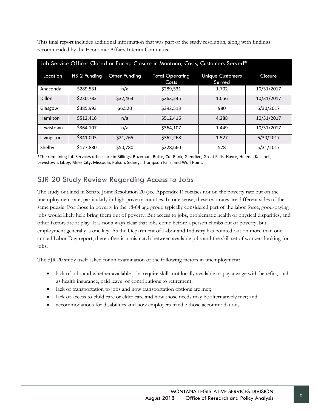This final report includes additional information that was part of the study resolution, along with findings recommended by the Economic Affairs Interim Committee.

| Job Service Offices Closed or Facing Closure in Montana, Costs, Customers Served* |              |               |                                 |                                   |                |
|-----------------------------------------------------------------------------------|--------------|---------------|---------------------------------|-----------------------------------|----------------|
| Location                                                                          | HB 2 Funding | Other Funding | <b>Total Operating</b><br>Costs | <b>Unique Customers</b><br>Served | <b>Closure</b> |
| Anaconda                                                                          | \$289,531    | n/a           | \$289,531                       | 1,702                             | 10/31/2017     |
| Dillon                                                                            | \$230,782    | \$32,463      | \$263,245                       | 1,056                             | 10/31/2017     |
| Glasgow                                                                           | \$385,993    | \$6,520       | \$392,513                       | 980                               | 6/30/2017      |
| Hamilton                                                                          | \$512,416    | n/a           | \$512,416                       | 4,288                             | 10/31/2017     |
| Lewistown                                                                         | \$364,107    | n/a           | \$364,107                       | 1,449                             | 10/31/2017     |
| Livingston                                                                        | \$341,003    | \$21,265      | \$362,268                       | 1,527                             | 6/30/2017      |
| Shelby                                                                            | \$177,880    | \$50,780      | \$228,660                       | 578                               | 5/31/2017      |

\*The remaining Job Services offices are in Billings, Bozeman, Butte, Cut Bank, Glendive, Great Falls, Havre, Helena, Kalispell, Lewistown, Libby, Miles City, Missoula, Polson, Sidney, Thompson Falls, and Wolf Point.

## <span id="page-11-0"></span>SJR 20 Study Review Regarding Access to Jobs

The study outlined in Senate Joint Resolution 20 (see Appendix 1) focuses not on the poverty rate but on the unemployment rate, particularly in high-poverty counties. In one sense, these two rates are different sides of the same puzzle. For those in poverty in the 18-64 age group typically considered part of the labor force, good-paying jobs would likely help bring them out of poverty. But access to jobs, problematic health or physical disparities, and other factors are at play. It is not always clear that jobs come before a person climbs out of poverty, but employment generally is one key. As the Department of Labor and Industry has pointed out on more than one annual Labor Day report, there often is a mismatch between available jobs and the skill set of workers looking for jobs.

The SJR 20 study itself asked for an examination of the following factors in unemployment:

- lack of jobs and whether available jobs require skills not locally available or pay a wage with benefits, such as health insurance, paid leave, or contributions to retirement;
- lack of transportation to jobs and how transportation options are met;
- lack of access to child care or elder care and how those needs may be alternatively met; and
- accommodations for disabilities and how employers handle those accommodations.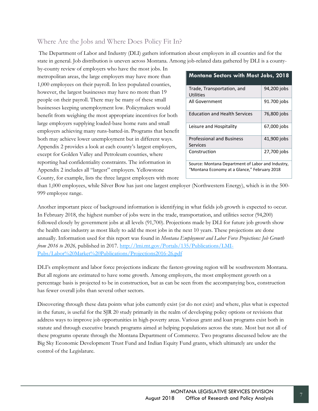## <span id="page-12-0"></span>Where Are the Jobs and Where Does Policy Fit In?

The Department of Labor and Industry (DLI) gathers information about employers in all counties and for the state in general. Job distribution is uneven across Montana. Among job-related data gathered by DLI is a county-

by-county review of employers who have the most jobs. In metropolitan areas, the large employers may have more than 1,000 employees on their payroll. In less populated counties, however, the largest businesses may have no more than 19 people on their payroll. There may be many of these small businesses keeping unemployment low. Policymakers would benefit from weighing the most appropriate incentives for both large employers supplying loaded-base home runs and small employers achieving many runs-batted-in. Programs that benefit both may achieve lower unemployment but in different ways. Appendix 2 provides a look at each county's largest employers, except for Golden Valley and Petroleum counties, where reporting had confidentiality constraints. The information in Appendix 2 includes all "largest" employers. Yellowstone County, for example, lists the three largest employers with more

| <b>Montana Sectors with Most Jobs, 2018</b>       |             |  |
|---------------------------------------------------|-------------|--|
| Trade, Transportation, and                        | 94,200 jobs |  |
| <b>Utilities</b>                                  |             |  |
| All Government                                    | 91.700 jobs |  |
| <b>Education and Health Services</b>              | 76,800 jobs |  |
| Leisure and Hospitality                           | 67,000 jobs |  |
| <b>Professional and Business</b>                  | 41,900 jobs |  |
| Services                                          |             |  |
| Construction                                      | 27,700 jobs |  |
| Source: Montana Department of Labor and Industry, |             |  |
| "Montana Economy at a Glance," February 2018      |             |  |

than 1,000 employees, while Silver Bow has just one largest employer (Northwestern Energy), which is in the 500- 999 employee range.

Another important piece of background information is identifying in what fields job growth is expected to occur. In February 2018, the highest number of jobs were in the trade, transportation, and utilities sector (94,200) followed closely by government jobs at all levels (91,700). Projections made by DLI for future job growth show the health care industry as most likely to add the most jobs in the next 10 years. These projections are done annually. Information used for this report was found in *Montana Employment and Labor Force Projections: Job Growth from 2016 to 2026,* published in 2017. [http://lmi.mt.gov/Portals/135/Publications/LMI-](http://lmi.mt.gov/Portals/135/Publications/LMI-Pubs/Labor%20Market%20Publications/Projections2016-26.pdf)[Pubs/Labor%20Market%20Publications/Projections2016-26.pdf](http://lmi.mt.gov/Portals/135/Publications/LMI-Pubs/Labor%20Market%20Publications/Projections2016-26.pdf)

DLI's employment and labor force projections indicate the fastest-growing region will be southwestern Montana. But all regions are estimated to have some growth. Among employers, the most employment growth on a percentage basis is projected to be in construction, but as can be seen from the accompanying box, construction has fewer overall jobs than several other sectors.

Discovering through these data points what jobs currently exist (or do not exist) and where, plus what is expected in the future, is useful for the SJR 20 study primarily in the realm of developing policy options or revisions that address ways to improve job opportunities in high-poverty areas. Various grant and loan programs exist both in statute and through executive branch programs aimed at helping populations across the state. Most but not all of these programs operate through the Montana Department of Commerce. Two programs discussed below are the Big Sky Economic Development Trust Fund and Indian Equity Fund grants, which ultimately are under the control of the Legislature.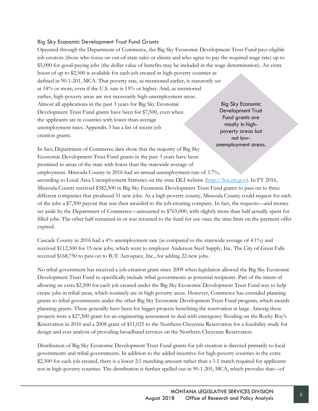#### Big Sky Economic Development Trust Fund Grants

Operated through the Department of Commerce, the Big Sky Economic Development Trust Fund pays eligible job creators (those who focus on out-of-state sales or clients and who agree to pay the required wage rate) up to \$5,000 for good-paying jobs (the dollar value of benefits may be included in the wage determination). An extra boost of up to \$2,500 is available for each job created in high-poverty counties as

defined in 90-1-201, MCA. That poverty rate, as mentioned earlier, is statutorily set at 14% or more, even if the U.S. rate is 15% or higher. And, as mentioned earlier, high-poverty areas are not necessarily high-unemployment areas. Almost all applications in the past 3 years for Big Sky Economic Development Trust Fund grants have been for \$7,500, even when the applicants are in counties with lower-than-average unemployment rates. Appendix 3 has a list of recent job creation grants.

Big Sky Economic Development Trust Fund grants are mostly in highpoverty areas but not lowunemployment areas.

In fact, Department of Commerce data show that the majority of Big Sky Economic Development Trust Fund grants in the past 3 years have been promised to areas of the state with lower than the statewide average of employment. Missoula County in 2016 had an annual unemployment rate of 3.7%,

according to Local Area Unemployment Statistics on the state DLI website [\(http://lmi.mt.gov\)](http://lmi.mt.gov/). In FY 2016, Missoula County received \$382,500 in Big Sky Economic Development Trust Fund grants to pass on to three different companies that produced 51 new jobs. As a high-poverty county, Missoula County could request for each of the jobs a \$7,500 payout that was then awarded to the job-creating company. In fact, the requests—and money set aside by the Department of Commerce—amounted to \$765,000, with slightly more than half actually spent for filled jobs. The other half remained in or was returned to the fund for use once the time limit on the payment offer expired.

Cascade County in 2016 had a 4% unemployment rate (as compared to the statewide average of 4.1%) and received \$112,500 for 15 new jobs, which went to employer Anderson Steel Supply, Inc. The City of Great Falls received \$168,750 to pass on to B/E Aerospace, Inc., for adding 22 new jobs.

No tribal government has received a job-creation grant since 2009 when legislation allowed the Big Sky Economic Development Trust Fund to specifically include tribal governments as potential recipients. Part of the intent of allowing an extra \$2,500 for each job created under the Big Sky Economic Development Trust Fund was to help create jobs in tribal areas, which routinely are in high-poverty areas. However, Commerce has extended planning grants to tribal governments under the other Big Sky Economic Development Trust Fund program, which awards planning grants. These generally have been for bigger projects benefiting the reservation at large. Among these projects were a \$27,500 grant for an engineering assessment to deal with emergency flooding on the Rocky Boy's Reservation in 2010 and a 2008 grant of \$11,025 to the Northern Cheyenne Reservation for a feasibility study for design and cost analysis of providing broadband services on the Northern Cheyenne Reservation.

Distribution of Big Sky Economic Development Trust Fund grants for job creation is directed primarily to local governments and tribal governments. In addition to the added incentive for high-poverty counties in the extra \$2,500 for each job created, there is a lower 2:1 matching amount rather than a 1:1 match required for applicants not in high-poverty counties. The distribution is further spelled out in 90-1-205, MCA, which provides that—of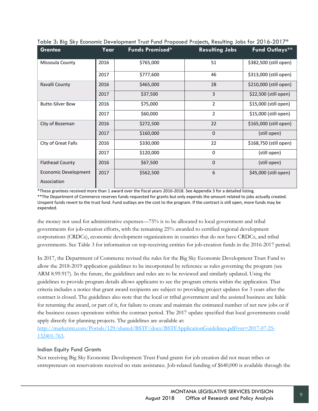| <b>Grantee</b>          | Year | <b>Funds Promised*</b> | <b>Resulting Jobs</b> | <b>Fund Outlays**</b>  |
|-------------------------|------|------------------------|-----------------------|------------------------|
| Missoula County         | 2016 | \$765,000              | 51                    | \$382,500 (still open) |
|                         | 2017 | \$777,600              | 46                    | \$313,000 (still open) |
| Ravalli County          | 2016 | \$465,000              | 28                    | \$210,000 (still open) |
|                         | 2017 | \$37,500               | 3                     | \$22,500 (still open)  |
| <b>Butte-Silver Bow</b> | 2016 | \$75,000               | $\overline{2}$        | \$15,000 (still open)  |
|                         | 2017 | \$60,000               | $\overline{2}$        | \$15,000 (still open)  |
| City of Bozeman         | 2016 | \$272,500              | 22                    | \$165,000 (still open) |
|                         | 2017 | \$160,000              | $\Omega$              | (still open)           |
| City of Great Falls     | 2016 | \$330,000              | 22                    | \$168,750 (still open) |
|                         | 2017 | \$120,000              | $\Omega$              | (still open)           |
| <b>Flathead County</b>  | 2016 | \$67,500               | $\mathbf 0$           | (still open)           |
| Economic Development    | 2017 | \$562,500              | 6                     | \$45,000 (still open)  |
| Association             |      |                        |                       |                        |

Table 3: Big Sky Economic Development Trust Fund Proposed Projects, Resulting Jobs for 2016-2017\*

\*These grantees received more than 1 award over the fiscal years 2016-2018. See Appendix 3 for a detailed listing. \*\*The Department of Commerce reserves funds requested for grants but only expends the amount related to jobs actually created. Unspent funds revert to the trust fund. Fund outlays are the cost to the program. If the contract is still open, more funds may be expended.

the money not used for administrative expenses—75% is to be allocated to local government and tribal governments for job-creation efforts, with the remaining 25% awarded to certified regional development corporations (CRDCs), economic development organizations in counties that do not have CRDCs, and tribal governments. See Table 3 for information on top-receiving entities for job-creation funds in the 2016-2017 period.

In 2017, the Department of Commerce revised the rules for the Big Sky Economic Development Trust Fund to allow the 2018-2019 application guidelines to be incorporated by reference as rules governing the program (see ARM 8.99.917). In the future, the guidelines and rules are to be reviewed and similarly updated. Using the guidelines to provide program details allows applicants to see the program criteria within the application. That criteria includes a notice that grant award recipients are subject to providing project updates for 3 years after the contract is closed. The guidelines also note that the local or tribal government and the assisted business are liable for returning the award, or part of it, for failure to create and maintain the estimated number of net new jobs or if the business ceases operations within the contract period. The 2017 update specified that local governments could apply directly for planning projects. The guidelines are available at:

[http://marketmt.com/Portals/129/shared/BSTF/docs/BSTFApplicationGuidelines.pdf?ver=2017-07-25-](http://marketmt.com/Portals/129/shared/BSTF/docs/BSTFApplicationGuidelines.pdf?ver=2017-07-25-132401-763) [132401-763.](http://marketmt.com/Portals/129/shared/BSTF/docs/BSTFApplicationGuidelines.pdf?ver=2017-07-25-132401-763)

### Indian Equity Fund Grants

Not receiving Big Sky Economic Development Trust Fund grants for job creation did not mean tribes or entrepreneurs on reservations received no state assistance. Job-related funding of \$640,000 is available through the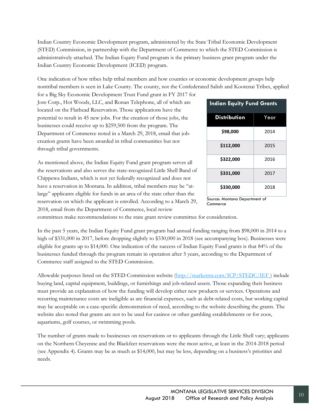Indian Country Economic Development program, administered by the State Tribal Economic Development (STED) Commission, in partnership with the Department of Commerce to which the STED Commission is administratively attached. The Indian Equity Fund program is the primary business grant program under the Indian Country Economic Development (ICED) program.

One indication of how tribes help tribal members and how counties or economic development groups help nontribal members is seen in Lake County. The county, not the Confederated Salish and Kootenai Tribes, applied

for a Big Sky Economic Development Trust Fund grant in FY 2017 for Jore Corp., Hot Woods, LLC, and Ronan Telephone, all of which are located on the Flathead Reservation. Those applications have the potential to result in 45 new jobs. For the creation of those jobs, the businesses could receive up to \$259,500 from the program. The Department of Commerce noted in a March 29, 2018, email that jobcreation grants have been awarded in tribal communities but not through tribal governments.

As mentioned above, the Indian Equity Fund grant program serves all the reservations and also serves the state-recognized Little Shell Band of Chippewa Indians, which is not yet federally recognized and does not have a reservation in Montana. In addition, tribal members may be "atlarge" applicants eligible for funds in an area of the state other than the reservation on which the applicant is enrolled. According to a March 29, 2018, email from the Department of Commerce, local review

| <b>Indian Equity Fund Grants</b> |      |  |
|----------------------------------|------|--|
| <b>Distribution</b>              | Year |  |
| \$98,000                         | 2014 |  |
| \$112,000                        | 2015 |  |
| \$322,000                        | 2016 |  |
| \$331,000                        | 2017 |  |
| \$330,000                        | 2018 |  |

Source: Montana Department of Commerce

committees make recommendations to the state grant review committee for consideration.

In the past 5 years, the Indian Equity Fund grant program had annual funding ranging from \$98,000 in 2014 to a high of \$331,000 in 2017, before dropping slightly to \$330,000 in 2018 (see accompanying box). Businesses were eligible for grants up to \$14,000. One indication of the success of Indian Equity Fund grants is that 84% of the businesses funded through the program remain in operation after 5 years, according to the Department of Commerce staff assigned to the STED Commission.

Allowable purposes listed on the STED Commission website [\(http://marketmt.com/ICP/STEDC/IEF](http://marketmt.com/ICP/STEDC/IEF) ) include buying land, capital equipment, buildings, or furnishings and job-related assets. Those expanding their business must provide an explanation of how the funding will develop either new products or services. Operations and recurring maintenance costs are ineligible as are financial expenses, such as debt-related costs, but working capital may be acceptable on a case-specific demonstration of need, according to the website describing the grants. The website also noted that grants are not to be used for casinos or other gambling establishments or for zoos, aquariums, golf courses, or swimming pools.

The number of grants made to businesses on reservations or to applicants through the Little Shell vary; applicants on the Northern Cheyenne and the Blackfeet reservations were the most active, at least in the 2014-2018 period (see Appendix 4). Grants may be as much as \$14,000, but may be less, depending on a business's priorities and needs.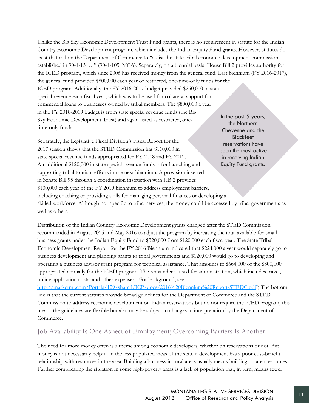Unlike the Big Sky Economic Development Trust Fund grants, there is no requirement in statute for the Indian Country Economic Development program, which includes the Indian Equity Fund grants. However, statutes do exist that call on the Department of Commerce to "assist the state-tribal economic development commission established in 90-1-131…" (90-1-105, MCA). Separately, on a biennial basis, House Bill 2 provides authority for the ICED program, which since 2006 has received money from the general fund. Last biennium (FY 2016-2017), the general fund provided \$800,000 each year of restricted, one-time-only funds for the ICED program. Additionally, the FY 2016-2017 budget provided \$250,000 in state special revenue each fiscal year, which was to be used for collateral support for commercial loans to businesses owned by tribal members. The \$800,000 a year in the FY 2018-2019 budget is from state special revenue funds (the Big Sky Economic Development Trust) and again listed as restricted, onetime-only funds. In the past 5 years, the Northern Cheyenne and the

Separately, the Legislative Fiscal Division's Fiscal Report for the 2017 session shows that the STED Commission has \$110,000 in state special revenue funds appropriated for FY 2018 and FY 2019. An additional \$120,000 in state special revenue funds is for launching and supporting tribal tourism efforts in the next biennium. A provision inserted in Senate Bill 95 through a coordination instruction with HB 2 provides \$100,000 each year of the FY 2019 biennium to address employment barriers, including coaching or providing skills for managing personal finances or developing a skilled workforce. Although not specific to tribal services, the money could be accessed by tribal governments as well as others. **Blackfeet** reservations have been the most active in receiving Indian Equity Fund grants.

Distribution of the Indian Country Economic Development grants changed after the STED Commission recommended in August 2015 and May 2016 to adjust the program by increasing the total available for small business grants under the Indian Equity Fund to \$320,000 from \$120,000 each fiscal year. The State Tribal Economic Development Report for the FY 2016 Biennium indicated that \$224,000 a year would separately go to business development and planning grants to tribal governments and \$120,000 would go to developing and operating a business advisor grant program for technical assistance. That amounts to \$664,000 of the \$800,000 appropriated annually for the ICED program. The remainder is used for administration, which includes travel, online application costs, and other expenses. (For background, see

[http://marketmt.com/Portals/129/shared/ICP/docs/2016%20Biennium%20Report-STEDC.pdf.](http://marketmt.com/Portals/129/shared/ICP/docs/2016%20Biennium%20Report-STEDC.pdf)) The bottom line is that the current statutes provide broad guidelines for the Department of Commerce and the STED Commission to address economic development on Indian reservations but do not require the ICED program; this means the guidelines are flexible but also may be subject to changes in interpretation by the Department of Commerce.

## <span id="page-16-0"></span>Job Availability Is One Aspect of Employment; Overcoming Barriers Is Another

The need for more money often is a theme among economic developers, whether on reservations or not. But money is not necessarily helpful in the less populated areas of the state if development has a poor cost-benefit relationship with resources in the area. Building a business in rural areas usually means building on area resources. Further complicating the situation in some high-poverty areas is a lack of population that, in turn, means fewer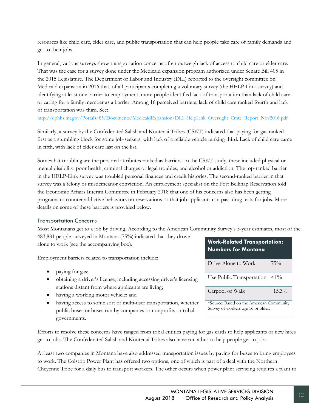resources like child care, elder care, and public transportation that can help people take care of family demands and get to their jobs.

In general, various surveys show transportation concerns often outweigh lack of access to child care or elder care. That was the case for a survey done under the Medicaid expansion program authorized under Senate Bill 405 in the 2015 Legislature. The Department of Labor and Industry (DLI) reported to the oversight committee on Medicaid expansion in 2016 that, of all participants completing a voluntary survey (the HELP-Link survey) and identifying at least one barrier to employment, more people identified lack of transportation than lack of child care or caring for a family member as a barrier. Among 16 perceived barriers, lack of child care ranked fourth and lack of transportation was third. See:

[http://dphhs.mt.gov/Portals/85/Documents/MedicaidExpansion/DLI\\_HelpLink\\_Oversight\\_Cmte\\_Report\\_Nov2016.pdf](http://dphhs.mt.gov/Portals/85/Documents/MedicaidExpansion/DLI_HelpLink_Oversight_Cmte_Report_Nov2016.pdf)

Similarly, a survey by the Confederated Salish and Kootenai Tribes (CSKT) indicated that paying for gas ranked first as a stumbling block for some job-seekers, with lack of a reliable vehicle ranking third. Lack of child care came in fifth, with lack of elder care last on the list.

Somewhat troubling are the personal attributes ranked as barriers. In the CSKT study, these included physical or mental disability, poor health, criminal charges or legal troubles, and alcohol or addiction. The top-ranked barrier in the HELP-Link survey was troubled personal finances and credit histories. The second-ranked barrier in that survey was a felony or misdemeanor conviction. An employment specialist on the Fort Belknap Reservation told the Economic Affairs Interim Committee in February 2018 that one of his concerns also has been getting programs to counter addictive behaviors on reservations so that job applicants can pass drug tests for jobs. More details on some of these barriers is provided below.

### Transportation Concerns

Most Montanans get to a job by driving. According to the American Community Survey's 5-year estimates, most of the 483,881 people surveyed in Montana (75%) indicated that they drove alone to work (see the accompanying box). **Work-Related Transportation:** 

Employment barriers related to transportation include:

- paying for gas;
- obtaining a driver's license, including accessing driver's licensing stations distant from where applicants are living;
- having a working motor vehicle; and
- having access to some sort of multi-user transportation, whether public buses or buses run by companies or nonprofits or tribal governments.

# **Numbers for Montana**

| Drive Alone to Work                                                            | 75%      |
|--------------------------------------------------------------------------------|----------|
| Use Public Transportation $\langle 1\%$                                        |          |
| Carpool or Walk                                                                | $15.3\%$ |
| *Source: Based on the American Community<br>Survey of workers age 16 or older. |          |

Efforts to resolve these concerns have ranged from tribal entities paying for gas cards to help applicants or new hires get to jobs. The Confederated Salish and Kootenai Tribes also have run a bus to help people get to jobs.

At least two companies in Montana have also addressed transportation issues by paying for buses to bring employees to work. The Colstrip Power Plant has offered two options, one of which is part of a deal with the Northern Cheyenne Tribe for a daily bus to transport workers. The other occurs when power plant servicing requires a plant to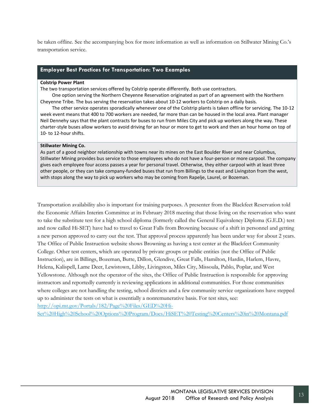be taken offline. See the accompanying box for more information as well as information on Stillwater Mining Co.'s transportation service.

#### **Employer Best Practices for Transportation: Two Examples**

#### **Colstrip Power Plant**

The two transportation services offered by Colstrip operate differently. Both use contractors.

One option serving the Northern Cheyenne Reservation originated as part of an agreement with the Northern Cheyenne Tribe. The bus serving the reservation takes about 10-12 workers to Colstrip on a daily basis.

The other service operates sporadically whenever one of the Colstrip plants is taken offline for servicing. The 10-12 week event means that 400 to 700 workers are needed, far more than can be housed in the local area. Plant manager Neil Dennehy says that the plant contracts for buses to run from Miles City and pick up workers along the way. These charter-style buses allow workers to avoid driving for an hour or more to get to work and then an hour home on top of 10- to 12-hour shifts.

#### **Stillwater Mining Co.**

As part of a good neighbor relationship with towns near its mines on the East Boulder River and near Columbus, Stillwater Mining provides bus service to those employees who do not have a four-person or more carpool. The company gives each employee four access passes a year for personal travel. Otherwise, they either carpool with at least three other people, or they can take company-funded buses that run from Billings to the east and Livingston from the west, with stops along the way to pick up workers who may be coming from Rapelje, Laurel, or Bozeman.

Transportation availability also is important for training purposes. A presenter from the Blackfeet Reservation told the Economic Affairs Interim Committee at its February 2018 meeting that those living on the reservation who want to take the substitute test for a high school diploma (formerly called the General Equivalency Diploma (G.E.D.) test and now called Hi-SET) have had to travel to Great Falls from Browning because of a shift in personnel and getting a new person approved to carry out the test. That approval process apparently has been under way for about 2 years. The Office of Public Instruction website shows Browning as having a test center at the Blackfeet Community College. Other test centers, which are operated by private groups or public entities (not the Office of Public Instruction), are in Billings, Bozeman, Butte, Dillon, Glendive, Great Falls, Hamilton, Hardin, Harlem, Havre, Helena, Kalispell, Lame Deer, Lewistown, Libby, Livingston, Miles City, Missoula, Pablo, Poplar, and West Yellowstone. Although not the operator of the sites, the Office of Public Instruction is responsible for approving instructors and reportedly currently is reviewing applications in additional communities. For those communities where colleges are not handling the testing, school districts and a few community service organizations have stepped up to administer the tests on what is essentially a nonremunerative basis. For test sites, see: [http://opi.mt.gov/Portals/182/Page%20Files/GED%20Hi-](http://opi.mt.gov/Portals/182/Page%20Files/GED%20Hi-Set%20High%20School%20Options%20Program/Docs/HiSET%20Testing%20Centers%20in%20Montana.pdf)

[Set%20High%20School%20Options%20Program/Docs/HiSET%20Testing%20Centers%20in%20Montana.pdf](http://opi.mt.gov/Portals/182/Page%20Files/GED%20Hi-Set%20High%20School%20Options%20Program/Docs/HiSET%20Testing%20Centers%20in%20Montana.pdf)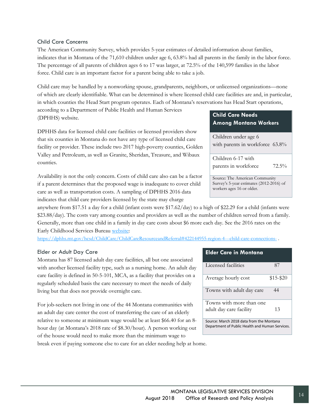### Child Care Concerns

The American Community Survey, which provides 5-year estimates of detailed information about families, indicates that in Montana of the 71,610 children under age 6, 63.8% had all parents in the family in the labor force. The percentage of all parents of children ages 6 to 17 was larger, at 72.5% of the 140,599 families in the labor force. Child care is an important factor for a parent being able to take a job.

Child care may be handled by a nonworking spouse, grandparents, neighbors, or unlicensed organizations—none of which are clearly identifiable. What can be determined is where licensed child care facilities are and, in particular, in which counties the Head Start program operates. Each of Montana's reservations has Head Start operations,

according to a Department of Public Health and Human Services (DPHHS) website.

DPHHS data for licensed child care facilities or licensed providers show that six counties in Montana do not have any type of licensed child care facility or provider. These include two 2017 high-poverty counties, Golden Valley and Petroleum, as well as Granite, Sheridan, Treasure, and Wibaux counties.

Availability is not the only concern. Costs of child care also can be a factor if a parent determines that the proposed wage is inadequate to cover child care as well as transportation costs. A sampling of DPHHS 2016 data indicates that child care providers licensed by the state may charge

anywhere from \$17.51 a day for a child (infant costs were \$17.62/day) to a high of \$22.29 for a child (infants were \$23.88/day). The costs vary among counties and providers as well as the number of children served from a family. Generally, more than one child in a family in day care costs about \$6 more each day. See the 2016 rates on the Early Childhood Services Bureau [website:](https://dphhs.mt.gov/hcsd/ChildCare/ChildCareResourceandReferral#422144955-region-4---child-care-connections-)

<https://dphhs.mt.gov/hcsd/ChildCare/ChildCareResourceandReferral#422144955-region-4---child-care-connections->

### Elder or Adult Day Care

Montana has 87 licensed adult day care facilities, all but one associated with another licensed facility type, such as a nursing home. An adult day care facility is defined in 50-5-101, MCA, as a facility that provides on a regularly scheduled basis the care necessary to meet the needs of daily living but that does not provide overnight care.

For job-seekers not living in one of the 44 Montana communities with an adult day care center the cost of transferring the care of an elderly relative to someone at minimum wage would be at least \$66.40 for an 8 hour day (at Montana's 2018 rate of \$8.30/hour). A person working out of the house would need to make more than the minimum wage to break even if paying someone else to care for an elder needing help at home.

### **Child Care Needs Among Montana Workers**

Children under age 6 with parents in workforce 63.8%

Children 6-17 with parents in workforce 72.5%

Source: The American Community Survey's 5-year estimates (2012-2016) of workers ages 16 or older.

| Elder Care in Montana                           |           |  |  |  |
|-------------------------------------------------|-----------|--|--|--|
| Licensed facilities                             | 87        |  |  |  |
| Average hourly cost                             | \$15-\$20 |  |  |  |
| Towns with adult day care                       | 44        |  |  |  |
| Towns with more than one                        |           |  |  |  |
| adult day care facility                         | 13        |  |  |  |
| Source: March 2018 data from the Montana        |           |  |  |  |
| Department of Public Health and Human Services. |           |  |  |  |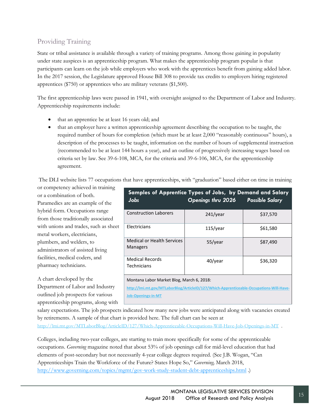## <span id="page-20-0"></span>Providing Training

State or tribal assistance is available through a variety of training programs. Among those gaining in popularity under state auspices is an apprenticeship program. What makes the apprenticeship program popular is that participants can learn on the job while employers who work with the apprentices benefit from gaining added labor. In the 2017 session, the Legislature approved House Bill 308 to provide tax credits to employers hiring registered apprentices (\$750) or apprentices who are military veterans (\$1,500).

The first apprenticeship laws were passed in 1941, with oversight assigned to the Department of Labor and Industry. Apprenticeship requirements include:

- that an apprentice be at least 16 years old; and
- that an employer have a written apprenticeship agreement describing the occupation to be taught, the required number of hours for completion (which must be at least 2,000 "reasonably continuous" hours), a description of the processes to be taught, information on the number of hours of supplemental instruction (recommended to be at least 144 hours a year), and an outline of progressively increasing wages based on criteria set by law. See 39-6-108, MCA, for the criteria and 39-6-106, MCA, for the apprenticeship agreement.

The DLI website lists 77 occupations that have apprenticeships, with "graduation" based either on time in training

or competency achieved in training or a combination of both. Paramedics are an example of the hybrid form. Occupations range from those traditionally associated with unions and trades, such as sheet metal workers, electricians, plumbers, and welders, to administrators of assisted living facilities, medical coders, and pharmacy technicians.

A chart developed by the Department of Labor and Industry outlined job prospects for various apprenticeship programs, along with

| <b>Jobs</b>                                                                                                                          | Samples of Apprentice Types of Jobs, by Demand and Salary<br>Openings thru 2026 | <b>Possible Salary</b> |  |  |  |
|--------------------------------------------------------------------------------------------------------------------------------------|---------------------------------------------------------------------------------|------------------------|--|--|--|
| <b>Construction Laborers</b>                                                                                                         | $241$ /year                                                                     | \$37,570               |  |  |  |
| Electricians                                                                                                                         | $115$ /year                                                                     | \$61,580               |  |  |  |
| <b>Medical or Health Services</b><br><b>Managers</b>                                                                                 | 55/year                                                                         | \$87,490               |  |  |  |
| <b>Medical Records</b><br>40/year<br>\$36,320<br>Technicians                                                                         |                                                                                 |                        |  |  |  |
| Montana Labor Market Blog, March 6, 2018:<br>http://lmi.mt.gov/MTLaborBlog/ArticleID/127/Which-Apprenticeable-Occupations-Will-Have- |                                                                                 |                        |  |  |  |

**[Job-Openings-in-MT](http://lmi.mt.gov/MTLaborBlog/ArticleID/127/Which-Apprenticeable-Occupations-Will-Have-Job-Openings-in-MT)**

salary expectations. The job prospects indicated how many new jobs were anticipated along with vacancies created by retirements. A sample of that chart is provided here. The full chart can be seen at

<http://lmi.mt.gov/MTLaborBlog/ArticleID/127/Which-Apprenticeable-Occupations-Will-Have-Job-Openings-in-MT>.

Colleges, including two-year colleges, are starting to train more specifically for some of the apprenticeable occupations. *Governing* magazine noted that about 53% of job openings call for mid-level education that had elements of post-secondary but not necessarily 4-year college degrees required. (See J.B. Wogan, "Can Apprenticeships Train the Workforce of the Future? States Hope So," *Governing,* March 2018, <http://www.governing.com/topics/mgmt/gov-work-study-student-debt-apprenticeships.html> .)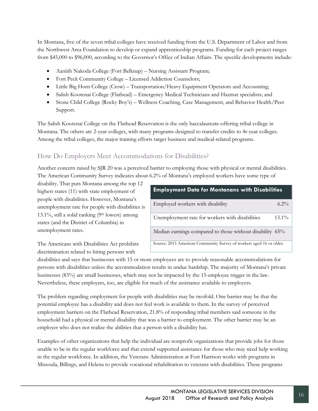In Montana, five of the seven tribal colleges have received funding from the U.S. Department of Labor and from the Northwest Area Foundation to develop or expand apprenticeship programs. Funding for each project ranges from \$45,000 to \$96,000, according to the Governor's Office of Indian Affairs. The specific developments include:

- Aaniiih Nakoda College (Fort Belknap) Nursing Assistant Program;
- Fort Peck Community College Licensed Addiction Counselors;
- Little Big Horn College (Crow) Transportation/Heavy Equipment Operators and Accounting;
- Salish Kootenai College (Flathead) Emergency Medical Technicians and Hazmat specialists; and
- Stone Child College (Rocky Boy's) Wellness Coaching, Case Management, and Behavior Health/Peer Support.

The Salish Kootenai College on the Flathead Reservation is the only baccalaureate-offering tribal college in Montana. The others are 2-year colleges, with many programs designed to transfer credits to 4r-year colleges. Among the tribal colleges, the major training efforts target business and medical-related programs.

## <span id="page-21-0"></span>How Do Employers Meet Accommodations for Disabilities?

Another concern raised by SJR 20 was a perceived barrier to employing those with physical or mental disabilities. The American Community Survey indicates about 6.2% of Montana's employed workers have some type of

disability. That puts Montana among the top 12 highest states (11) with state employment of people with disabilities. However, Montana's unemployment rate for people with disabilities is 13.1%, still a solid ranking (9th lowest) among states (and the District of Columbia) in unemployment rates.

| <b>Employment Data for Montanans with Disabilities</b>              |          |
|---------------------------------------------------------------------|----------|
| Employed workers with disability                                    | $6.2\%$  |
| Unemployment rate for workers with disabilities                     | $13.1\%$ |
| Median earnings compared to those without disability 65%            |          |
| Source: 2015 American Community Survey of workers aged 16 or older. |          |

The Americans with Disabilities Act prohibits discrimination related to hiring persons with

disabilities and says that businesses with 15 or more employees are to provide reasonable accommodations for persons with disabilities unless the accommodation results in undue hardship. The majority of Montana's private businesses (83%) are small businesses, which may not be impacted by the 15-employee trigger in the law. Nevertheless, these employers, too, are eligible for much of the assistance available to employers.

The problem regarding employment for people with disabilities may be twofold. One barrier may be that the potential employee has a disability and does not feel work is available to them. In the survey of perceived employment barriers on the Flathead Reservation, 21.8% of responding tribal members said someone in the household had a physical or mental disability that was a barrier to employment. The other barrier may be an employer who does not realize the abilities that a person with a disability has.

Examples of other organizations that help the individual are nonprofit organizations that provide jobs for those unable to be in the regular workforce and that extend supported assistance for those who may need help working in the regular workforce. In addition, the Veterans Administration at Fort Harrison works with programs in Missoula, Billings, and Helena to provide vocational rehabilitation to veterans with disabilities. These programs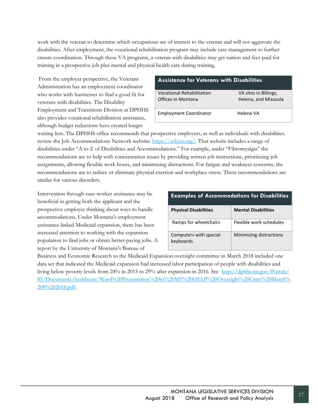work with the veteran to determine which occupations are of interest to the veteran and will not aggravate the disabilities. After employment, the vocational rehabilitation program may include case management to further ensure coordination. Through these VA programs, a veteran with disabilities may get tuition and fees paid for training in a prospective job plus mental and physical health care during training.

From the employer perspective, the Veterans Administration has an employment coordinator who works with businesses to find a good fit for veterans with disabilities. The Disability Employment and Transitions Division at DPHHS also provides vocational rehabilitation assistance, although budget reductions have created longer

## **Assistance for Veterans with Disabilities** Vocational Rehabilitation VA sites in Billings, Offices in Montana Helena, and Missoula Employment Coordinator **Helena VA**

waiting lists. The DPHHS office recommends that prospective employers, as well as individuals with disabilities. review the Job Accommodations Network website[: https://askjan.org/.](https://askjan.org/) That website includes a range of disabilities under "A to Z of Disabilities and Accommodations." For example, under "Fibromyalgia" the recommendations are to help with concentration issues by providing written job instructions, prioritizing job assignments, allowing flexible work hours, and minimizing distractions. For fatigue and weakness concerns, the recommendations are to reduce or eliminate physical exertion and workplace stress. These recommendations are similar for various disorders.

Intervention through case-worker assistance may be beneficial in getting both the applicant and the prospective employer thinking about ways to handle accommodations. Under Montana's employment assistance-linked Medicaid expansion, there has been increased attention to working with the expansion population to find jobs or obtain better-paying jobs. A report by the University of Montana's Bureau of

#### **Examples of Accommodations for Disabilities**

| <b>Physical Disabilities</b>        | <b>Mental Disabilities</b> |
|-------------------------------------|----------------------------|
| Ramps for wheelchairs               | Elexible work schedules    |
| Computers with special<br>keyboards | Minimizing distractions    |

Business and Economic Research to the Medicaid Expansion oversight committee in March 2018 included one data set that indicated the Medicaid expansion had increased labor participation of people with disabilities and living below poverty levels from 24% in 2015 to 29% after expansion in 2016. See [http://dphhs.mt.gov/Portals/](http://dphhs.mt.gov/Portals/%2085/Documents/healthcare/Ward%20Presentation%20to%20MT%20HELP%20Oversight%20Cmte%20March%208%202018.pdf) [85/Documents/healthcare/Ward%20Presentation%20to%20MT%20HELP%20Oversight%20Cmte%20March%](http://dphhs.mt.gov/Portals/%2085/Documents/healthcare/Ward%20Presentation%20to%20MT%20HELP%20Oversight%20Cmte%20March%208%202018.pdf) [208%202018.pdf](http://dphhs.mt.gov/Portals/%2085/Documents/healthcare/Ward%20Presentation%20to%20MT%20HELP%20Oversight%20Cmte%20March%208%202018.pdf) .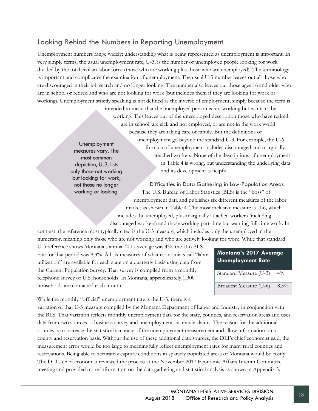## <span id="page-23-0"></span>Looking Behind the Numbers in Reporting Unemployment

Unemployment numbers range widely; understanding what is being represented as unemployment is important. In very simple terms, the usual unemployment rate, U-3, is the number of unemployed people looking for work divided by the total civilian labor force (those who are working plus those who are unemployed). The terminology is important and complicates the examination of unemployment. The usual U-3 number leaves out all those who are discouraged in their job search and no longer looking. The number also leaves out those ages 16 and older who are in school or retired and who are not looking for work (but includes them if they are looking for work or working). Unemployment strictly speaking is not defined as the inverse of employment, simply because the term is

> intended to mean that the unemployed person is not working but wants to be working. This leaves out of the unemployed description those who have retired, are in school, are sick and not employed, or are not in the work world because they are taking care of family. But the definitions of unemployment go beyond the standard U-3. For example, the U-6 formula of unemployment includes discouraged and marginally attached workers. None of the descriptions of unemployment in Table 4 is wrong, but understanding the underlying data and its development is helpful.

Unemployment measures vary. The most common depiction, U-3, lists only those not working but looking for work, not those no longer working or looking.

Difficulties in Data Gathering in Low-Population Areas The U.S. Bureau of Labor Statistics (BLS) is the "boss" of unemployment data and publishes six different measures of the labor market as shown in Table 4. The most inclusive measure is U-6, which includes the unemployed, plus marginally attached workers (including discouraged workers) and those working part-time but wanting full-time work. In

contrast, the reference most typically cited is the U-3 measure, which includes only the unemployed in the numerator, meaning only those who are not working and who are actively looking for work. While that standard

U-3 reference shows Montana's annual 2017 average was 4%, the U-6 BLS rate for that period was 8.3%. All six measures of what economists call "labor utilization" are available for each state on a quarterly basis using data from the Current Population Survey. That survey is compiled from a monthly telephone survey of U.S. households. In Montana, approximately 1,300 households are contacted each month.

| Montana's 2017 Average<br><b>Unemployment Rate</b> |         |
|----------------------------------------------------|---------|
| Standard Measure (U-3)                             | $4\%$   |
| Broadest Measure (U-6)                             | $8.3\%$ |

While the monthly "official" unemployment rate is the U-3, there is a

variation of that U-3 measure compiled by the Montana Department of Labor and Industry in conjunction with the BLS. That variation reflects monthly unemployment data for the state, counties, and reservation areas and uses data from two sources--a business survey and unemployment insurance claims. The reason for the additional sources is to increase the statistical accuracy of the unemployment measurement and allow information on a county and reservation basis. Without the use of these additional data sources, the DLI's chief economist said, the measurement error would be too large to meaningfully reflect unemployment rates for many rural counties and reservations. Being able to accurately capture conditions in sparsely populated areas of Montana would be costly. The DLI's chief economist reviewed the process at the November 2017 Economic Affairs Interim Committee meeting and provided more information on the data gathering and statistical analysis as shown in Appendix 5.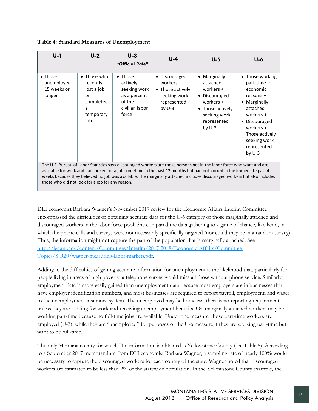| $U-1$                                                                                                                                                                                                                                                                                                                                                                                                                           | $U-2$                                                                             | $U-3$<br>"Official Rate"                                                                         | $U-4$                                                                                     | $U-5$                                                                                                                              | U-6                                                                                                                                                                                           |  |
|---------------------------------------------------------------------------------------------------------------------------------------------------------------------------------------------------------------------------------------------------------------------------------------------------------------------------------------------------------------------------------------------------------------------------------|-----------------------------------------------------------------------------------|--------------------------------------------------------------------------------------------------|-------------------------------------------------------------------------------------------|------------------------------------------------------------------------------------------------------------------------------------|-----------------------------------------------------------------------------------------------------------------------------------------------------------------------------------------------|--|
| $\bullet$ Those<br>unemployed<br>15 weeks or<br>longer                                                                                                                                                                                                                                                                                                                                                                          | • Those who<br>recently<br>lost a job<br>or<br>completed<br>a<br>temporary<br>job | $\bullet$ Those<br>actively<br>seeking work<br>as a percent<br>of the<br>civilian labor<br>force | • Discouraged<br>workers +<br>• Those actively<br>seeking work<br>represented<br>by $U-3$ | • Marginally<br>attached<br>workers +<br>• Discouraged<br>workers +<br>• Those actively<br>seeking work<br>represented<br>by $U-3$ | • Those working<br>part-time for<br>economic<br>reasons +<br>• Marginally<br>attached<br>workers +<br>• Discouraged<br>workers +<br>Those actively<br>seeking work<br>represented<br>by $U-3$ |  |
| The U.S. Bureau of Labor Statistics says discouraged workers are those persons not in the labor force who want and are<br>available for work and had looked for a job sometime in the past 12 months but had not looked in the immediate past 4<br>weeks because they believed no job was available. The marginally attached includes discouraged workers but also includes<br>those who did not look for a job for any reason. |                                                                                   |                                                                                                  |                                                                                           |                                                                                                                                    |                                                                                                                                                                                               |  |

DLI economist Barbara Wagner's November 2017 review for the Economic Affairs Interim Committee encompassed the difficulties of obtaining accurate data for the U-6 category of those marginally attached and discouraged workers in the labor force pool. She compared the data gathering to a game of chance, like keno, in which the phone calls and surveys were not necessarily specifically targeted (nor could they be in a random survey). Thus, the information might not capture the part of the population that is marginally attached. See [http://leg.mt.gov/content/Committees/Interim/2017-2018/Economic-Affairs/Committee-](http://leg.mt.gov/content/Committees/Interim/2017-2018/Economic-Affairs/Committee-Topics/SJR20/wagner-measuring-labor-market).pdf)[Topics/SJR20/wagner-measuring-labor-market\).pdf.](http://leg.mt.gov/content/Committees/Interim/2017-2018/Economic-Affairs/Committee-Topics/SJR20/wagner-measuring-labor-market).pdf)

Adding to the difficulties of getting accurate information for unemployment is the likelihood that, particularly for people living in areas of high poverty, a telephone survey would miss all those without phone service. Similarly, employment data is more easily gained than unemployment data because most employers are in businesses that have employer identification numbers, and most businesses are required to report payroll, employment, and wages to the unemployment insurance system. The unemployed may be homeless; there is no reporting requirement unless they are looking for work and receiving unemployment benefits. Or, marginally attached workers may be working part-time because no full-time jobs are available. Under one measure, those part-time workers are employed (U-3), while they are "unemployed" for purposes of the U-6 measure if they are working part-time but want to be full-time.

The only Montana county for which U-6 information is obtained is Yellowstone County (see Table 5). According to a September 2017 memorandum from DLI economist Barbara Wagner, a sampling rate of nearly 100% would be necessary to capture the discouraged workers for each county of the state. Wagner noted that discouraged workers are estimated to be less than 2% of the statewide population. In the Yellowstone County example, the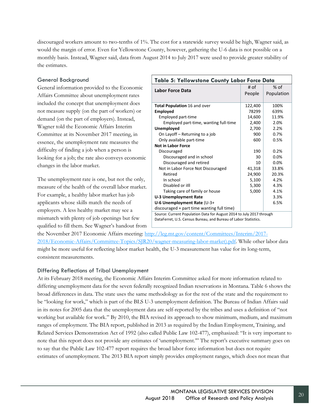discouraged workers amount to two-tenths of 1%. The cost for a statewide survey would be high, Wagner said, as would the margin of error. Even for Yellowstone County, however, gathering the U-6 data is not possible on a monthly basis. Instead, Wagner said, data from August 2014 to July 2017 were used to provide greater stability of the estimates.

#### General Background

General information provided to the Economic Affairs Committee about unemployment rates included the concept that unemployment does not measure supply (on the part of workers) or demand (on the part of employers). Instead, Wagner told the Economic Affairs Interim Committee at its November 2017 meeting, in essence, the unemployment rate measures the difficulty of finding a job when a person is looking for a job; the rate also conveys economic changes in the labor market.

The unemployment rate is one, but not the only, measure of the health of the overall labor market. For example, a healthy labor market has job applicants whose skills match the needs of employers. A less healthy market may see a mismatch with plenty of job openings but few qualified to fill them. See Wagner's handout from

| Table 5: Yellowstone County Labor Force Data                                                                                                                                                                                                                          |         |            |  |  |
|-----------------------------------------------------------------------------------------------------------------------------------------------------------------------------------------------------------------------------------------------------------------------|---------|------------|--|--|
| Labor Force Data                                                                                                                                                                                                                                                      | # of    | % of       |  |  |
|                                                                                                                                                                                                                                                                       | People  | Population |  |  |
|                                                                                                                                                                                                                                                                       |         |            |  |  |
| Total Population 16 and over                                                                                                                                                                                                                                          | 122,400 | 100%       |  |  |
| <b>Employed</b>                                                                                                                                                                                                                                                       | 78299   | 639%       |  |  |
| Employed part-time                                                                                                                                                                                                                                                    | 14,600  | 11.9%      |  |  |
| Employed part-time, wanting full-time                                                                                                                                                                                                                                 | 2,400   | 2.0%       |  |  |
| Unemployed                                                                                                                                                                                                                                                            | 2,700   | 2.2%       |  |  |
| On Layoff - Returning to a job                                                                                                                                                                                                                                        | 900     | 0.7%       |  |  |
| Only available part-time                                                                                                                                                                                                                                              | 600     | 0.5%       |  |  |
| <b>Not in Labor Force</b>                                                                                                                                                                                                                                             |         |            |  |  |
| Discouraged                                                                                                                                                                                                                                                           | 190     | 0.2%       |  |  |
| Discouraged and in school                                                                                                                                                                                                                                             | 30      | 0.0%       |  |  |
| Discouraged and retired                                                                                                                                                                                                                                               | 10      | 0.0%       |  |  |
| Not in Labor Force Not Discouraged                                                                                                                                                                                                                                    | 41,318  | 33.8%      |  |  |
| Retired                                                                                                                                                                                                                                                               | 24,900  | 20.3%      |  |  |
| In school                                                                                                                                                                                                                                                             | 5,100   | 4.2%       |  |  |
| Disabled or illl                                                                                                                                                                                                                                                      | 5,300   | 4.3%       |  |  |
| Taking care of family or house                                                                                                                                                                                                                                        | 5,000   | 4.1%       |  |  |
| <b>U-3 Unemployment Rate</b>                                                                                                                                                                                                                                          |         | 3.3%       |  |  |
| U-6 Unemployment Rate (U-3+                                                                                                                                                                                                                                           |         | 6.5%       |  |  |
| discouraged + part time wanting full time)                                                                                                                                                                                                                            |         |            |  |  |
| $C_{2111222}$ , $C_{1112221}$ $D_{2111}$ , $D_{2111}$ , $D_{2121}$ , $E_{211}$ , $E_{1111}$ , $D_{211}$ , $D_{111}$ , $D_{211}$ , $D_{211}$ , $D_{211}$ , $D_{211}$ , $D_{211}$ , $D_{211}$ , $D_{211}$ , $D_{211}$ , $D_{211}$ , $D_{211}$ , $D_{211}$ , $D_{211}$ , |         |            |  |  |

Source: Current Population Data for August 2014 to July 2017 through DataFerret, U.S. Census Bureau, and Bureau of Labor Statistics.

the November 2017 Economic Affairs meeting: [http://leg.mt.gov/content/Committees/Interim/2017-](http://leg.mt.gov/content/Committees/Interim/2017-2018/Economic-Affairs/Committee-Topics/SJR20/wagner-measuring-labor-market).pdf) [2018/Economic-Affairs/Committee-Topics/SJR20/wagner-measuring-labor-market\).pdf.](http://leg.mt.gov/content/Committees/Interim/2017-2018/Economic-Affairs/Committee-Topics/SJR20/wagner-measuring-labor-market).pdf) While other labor data might be more useful for reflecting labor market health, the U-3 measurement has value for its long-term, consistent measurements.

### Differing Reflections of Tribal Unemployment

At its February 2018 meeting, the Economic Affairs Interim Committee asked for more information related to differing unemployment data for the seven federally recognized Indian reservations in Montana. Table 6 shows the broad differences in data. The state uses the same methodology as for the rest of the state and the requirement to be "looking for work," which is part of the BLS U-3 unemployment definition. The Bureau of Indian Affairs said in its notes for 2005 data that the unemployment data are self-reported by the tribes and uses a definition of "not working but available for work." By 2010, the BIA revised its approach to show minimum, medium, and maximum ranges of employment. The BIA report, published in 2013 as required by the Indian Employment, Training, and Related Services Demonstration Act of 1992 (also called Public Law 102-477), emphasized: "It is very important to note that this report does not provide any estimates of 'unemployment.'" The report's executive summary goes on to say that the Public Law 102-477 report requires the broad labor force information but does not require estimates of unemployment. The 2013 BIA report simply provides employment ranges, which does not mean that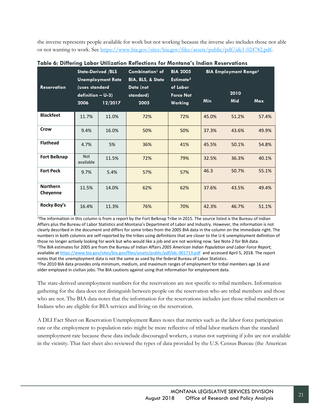the inverse represents people available for work but not working because the inverse also includes those not able or not wanting to work. See [https://www.bia.gov/sites/bia.gov/files/assets/public/pdf/idc1-024782.pdf.](https://www.bia.gov/sites/bia.gov/files/assets/public/pdf/idc1-024782.pdf)

|                             | <b>State-Derived /BLS</b>                     | <b>Unemployment Rate</b> | Combination <sup>1</sup> of<br><b>BIA, BLS, &amp; State</b> | <b>BIA 2005</b><br>Estimate <sup>2</sup> |            | <b>BIA Employment Range3</b> |            |
|-----------------------------|-----------------------------------------------|--------------------------|-------------------------------------------------------------|------------------------------------------|------------|------------------------------|------------|
| <b>Reservation</b>          | (uses standard<br>$definition - U-3)$<br>2006 | 12/2017                  | Data (not<br>standard)<br>2005                              | of Labor<br><b>Force Not</b><br>Working  | <b>Min</b> | 2010<br><b>Mid</b>           | <b>Max</b> |
| <b>Blackfeet</b>            | 11.7%                                         | 11.0%                    | 72%                                                         | 72%                                      | 45.0%      | 51.2%                        | 57.4%      |
| Crow                        | 9.4%                                          | 16.0%                    | 50%                                                         | 50%                                      | 37.3%      | 43.6%                        | 49.9%      |
| <b>Flathead</b>             | 4.7%                                          | 5%                       | 36%                                                         | 41%                                      | 45.5%      | 50.1%                        | 54.8%      |
| <b>Fort Belknap</b>         | <b>Not</b><br>available                       | 11.5%                    | 72%                                                         | 79%                                      | 32.5%      | 36.3%                        | 40.1%      |
| <b>Fort Peck</b>            | 9.7%                                          | 5.4%                     | 57%                                                         | 57%                                      | 46.3       | 50.7%                        | 55.1%      |
| <b>Northern</b><br>Cheyenne | 11.5%                                         | 14.0%                    | 62%                                                         | 62%                                      | 37.6%      | 43.5%                        | 49.4%      |
| Rocky Boy's                 | 16.4%                                         | 11.3%                    | 76%                                                         | 70%                                      | 42.3%      | 46.7%                        | 51.1%      |

|  | Table 6: Differing Labor Utilization Reflections for Montana's Indian Reservations |  |  |  |  |  |
|--|------------------------------------------------------------------------------------|--|--|--|--|--|
|--|------------------------------------------------------------------------------------|--|--|--|--|--|

1The information in this column is from a report by the Fort Belknap Tribe in 2015. The source listed is the Bureau of Indian Affairs plus the Bureau of Labor Statistics and Montana's Department of Labor and Industry. However, the information is not clearly described in the document and differs for some tribes from the 2005 BIA data in the column on the immediate right. The numbers in both columns are self-reported by the tribes using definitions that are closer to the U-6 unemployment definition of those no longer actively looking for work but who would like a job and are not working now. See Note 2 for BIA data. 2The BIA estimates for 2005 are from the Bureau of Indian Affairs *2005 American Indian Population and Labor Force Report,* available at<https://www.bia.gov/sites/bia.gov/files/assets/public/pdf/idc-001719.pdf> and accessed April 5, 2018. The report notes that the unemployment data is not the same as used by the federal Bureau of Labor Statistics. <sup>3</sup>The 2010 BIA data provides only minimum, medium, and maximum ranges of employment for tribal members age 16 and older employed in civilian jobs. The BIA cautions against using that information for employment data.

The state-derived unemployment numbers for the reservations are not specific to tribal members. Information gathering for the data does not distinguish between people on the reservation who are tribal members and those who are not. The BIA data notes that the information for the reservations includes just those tribal members or Indians who are eligible for BIA services and living on the reservation.

A DLI Fact Sheet on Reservation Unemployment Rates notes that metrics such as the labor force participation rate or the employment to population ratio might be more reflective of tribal labor markets than the standard unemployment rate because these data include discouraged workers, a status not surprising if jobs are not available in the vicinity. That fact sheet also reviewed the types of data provided by the U.S. Census Bureau (the American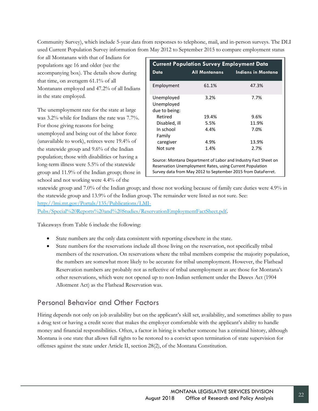Community Survey), which include 5-year data from responses to telephone, mail, and in-person surveys. The DLI used Current Population Survey information from May 2012 to September 2015 to compare employment status

for all Montanans with that of Indians for populations age 16 and older (see the accompanying box). The details show during that time, on averagem 61.1% of all Montanans employed and 47.2% of all Indians in the state employed.

The unemployment rate for the state at large was 3.2% while for Indians the rate was 7.7%. For those giving reasons for being unemployed and being out of the labor force (unavailable to work), retirees were 19.4% of the statewide group and 9.6% of the Indian population; those with disabilities or having a long-term illness were 5.5% of the statewide group and 11.9% of the Indian group; those in school and not working were 4.4% of the

| <b>Current Population Survey Employment Data</b>                                                                                                                                           |                                     |       |  |  |  |  |  |
|--------------------------------------------------------------------------------------------------------------------------------------------------------------------------------------------|-------------------------------------|-------|--|--|--|--|--|
| Data                                                                                                                                                                                       | All Montanans<br>Indians in Montana |       |  |  |  |  |  |
| Employment                                                                                                                                                                                 | 61.1%                               | 47.3% |  |  |  |  |  |
| Unemployed<br>Unemploved<br>due to being:                                                                                                                                                  | 7.7%<br>3.2%                        |       |  |  |  |  |  |
| Retired                                                                                                                                                                                    | 19.4%<br>9.6%                       |       |  |  |  |  |  |
| 5.5%<br>11.9%<br>Disabled, ill                                                                                                                                                             |                                     |       |  |  |  |  |  |
| 4.4%<br>In school<br>7.0%<br>Family                                                                                                                                                        |                                     |       |  |  |  |  |  |
| caregiver                                                                                                                                                                                  | 4.9%                                | 13.9% |  |  |  |  |  |
| 1.4%<br>Not sure<br>2.7%                                                                                                                                                                   |                                     |       |  |  |  |  |  |
| Source: Montana Department of Labor and Industry Fact Sheet on<br>Reservation Unemployment Rates, using Current Population<br>Survey data from May 2012 to September 2015 from DataFerret. |                                     |       |  |  |  |  |  |

statewide group and 7.0% of the Indian group; and those not working because of family care duties were 4.9% in the statewide group and 13.9% of the Indian group. The remainder were listed as not sure. See: [http://lmi.mt.gov/Portals/135/Publications/LMI-](http://lmi.mt.gov/Portals/135/Publications/LMI-Pubs/Special%20Reports%20and%20Studies/ReservationEmploymentFactSheet.pdf)

[Pubs/Special%20Reports%20and%20Studies/ReservationEmploymentFactSheet.pdf.](http://lmi.mt.gov/Portals/135/Publications/LMI-Pubs/Special%20Reports%20and%20Studies/ReservationEmploymentFactSheet.pdf)

Takeaways from Table 6 include the following:

- State numbers are the only data consistent with reporting elsewhere in the state.
- State numbers for the reservations include all those living on the reservation, not specifically tribal members of the reservation. On reservations where the tribal members comprise the majority population, the numbers are somewhat more likely to be accurate for tribal unemployment. However, the Flathead Reservation numbers are probably not as reflective of tribal unemployment as are those for Montana's other reservations, which were not opened up to non-Indian settlement under the Dawes Act (1904 Allotment Act) as the Flathead Reservation was.

## <span id="page-27-0"></span>Personal Behavior and Other Factors

Hiring depends not only on job availability but on the applicant's skill set, availability, and sometimes ability to pass a drug test or having a credit score that makes the employer comfortable with the applicant's ability to handle money and financial responsibilities. Often, a factor in hiring is whether someone has a criminal history, although Montana is one state that allows full rights to be restored to a convict upon termination of state supervision for offenses against the state under Article II, section 28(2), of the Montana Constitution.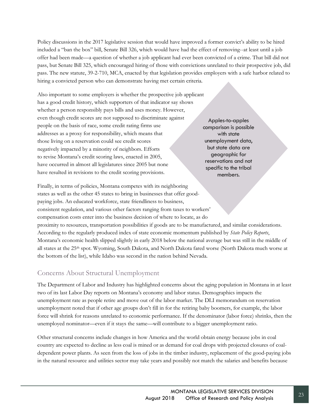Policy discussions in the 2017 legislative session that would have improved a former convict's ability to be hired included a "ban the box" bill, Senate Bill 326, which would have had the effect of removing--at least until a job offer had been made—a question of whether a job applicant had ever been convicted of a crime. That bill did not pass, but Senate Bill 325, which encouraged hiring of those with convictions unrelated to their prospective job, did pass. The new statute, 39-2-710, MCA, enacted by that legislation provides employers with a safe harbor related to hiring a convicted person who can demonstrate having met certain criteria.

Also important to some employers is whether the prospective job applicant has a good credit history, which supporters of that indicator say shows whether a person responsibly pays bills and uses money. However, even though credit scores are not supposed to discriminate against people on the basis of race, some credit rating firms use addresses as a proxy for responsibility, which means that those living on a reservation could see credit scores negatively impacted by a minority of neighbors. Efforts to revise Montana's credit scoring laws, enacted in 2005, have occurred in almost all legislatures since 2005 but none have resulted in revisions to the credit scoring provisions.

Apples-to-apples comparison is possible with state unemployment data, but state data are geographic for reservations and not specific to the tribal members.

Finally, in terms of policies, Montana competes with its neighboring states as well as the other 45 states to bring in businesses that offer goodpaying jobs. An educated workforce, state friendliness to business, consistent regulation, and various other factors ranging from taxes to workers' compensation costs enter into the business decision of where to locate, as do proximity to resources, transportation possibilities if goods are to be manufactured, and similar considerations. According to the regularly produced index of state economic momentum published by *State Policy Reports*, Montana's economic health slipped slightly in early 2018 below the national average but was still in the middle of all states at the 25th spot. Wyoming, South Dakota, and North Dakota fared worse (North Dakota much worse at the bottom of the list), while Idaho was second in the nation behind Nevada.

## <span id="page-28-0"></span>Concerns About Structural Unemployment

The Department of Labor and Industry has highlighted concerns about the aging population in Montana in at least two of its last Labor Day reports on Montana's economy and labor status. Demographics impacts the unemployment rate as people retire and move out of the labor market. The DLI memorandum on reservation unemployment noted that if other age groups don't fill in for the retiring baby boomers, for example, the labor force will shrink for reasons unrelated to economic performance. If the denominator (labor force) shrinks, then the unemployed nominator—even if it stays the same—will contribute to a bigger unemployment ratio.

Other structural concerns include changes in how America and the world obtain energy because jobs in coal country are expected to decline as less coal is mined or as demand for coal drops with projected closures of coaldependent power plants. As seen from the loss of jobs in the timber industry, replacement of the good-paying jobs in the natural resource and utilities sector may take years and possibly not match the salaries and benefits because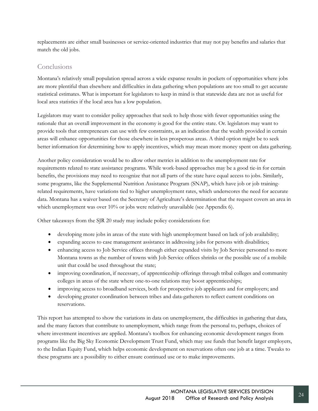replacements are either small businesses or service-oriented industries that may not pay benefits and salaries that match the old jobs.

## <span id="page-29-0"></span>Conclusions

Montana's relatively small population spread across a wide expanse results in pockets of opportunities where jobs are more plentiful than elsewhere and difficulties in data gathering when populations are too small to get accurate statistical estimates. What is important for legislators to keep in mind is that statewide data are not as useful for local area statistics if the local area has a low population.

Legislators may want to consider policy approaches that seek to help those with fewer opportunities using the rationale that an overall improvement in the economy is good for the entire state. Or. legislators may want to provide tools that entrepreneurs can use with few constraints, as an indication that the wealth provided in certain areas will enhance opportunities for those elsewhere in less prosperous areas. A third option might be to seek better information for determining how to apply incentives, which may mean more money spent on data gathering.

Another policy consideration would be to allow other metrics in addition to the unemployment rate for requirements related to state assistance programs. While work-based approaches may be a good tie-in for certain benefits, the provisions may need to recognize that not all parts of the state have equal access to jobs. Similarly, some programs, like the Supplemental Nutrition Assistance Program (SNAP), which have job or job trainingrelated requirements, have variations tied to higher unemployment rates, which underscores the need for accurate data. Montana has a waiver based on the Secretary of Agriculture's determination that the request covers an area in which unemployment was over 10% or jobs were relatively unavailable (see Appendix 6).

Other takeaways from the SJR 20 study may include policy considerations for:

- developing more jobs in areas of the state with high unemployment based on lack of job availability;
- expanding access to case management assistance in addressing jobs for persons with disabilities;
- enhancing access to Job Service offices through either expanded visits by Job Service personnel to more Montana towns as the number of towns with Job Service offices shrinks or the possible use of a mobile unit that could be used throughout the state;
- improving coordination, if necessary, of apprenticeship offerings through tribal colleges and community colleges in areas of the state where one-to-one relations may boost apprenticeships;
- improving access to broadband services, both for prospective job applicants and for employers; and
- developing greater coordination between tribes and data-gatherers to reflect current conditions on reservations.

This report has attempted to show the variations in data on unemployment, the difficulties in gathering that data, and the many factors that contribute to unemployment, which range from the personal to, perhaps, choices of where investment incentives are applied. Montana's toolbox for enhancing economic development ranges from programs like the Big Sky Economic Development Trust Fund, which may use funds that benefit larger employers, to the Indian Equity Fund, which helps economic development on reservations often one job at a time. Tweaks to these programs are a possibility to either ensure continued use or to make improvements.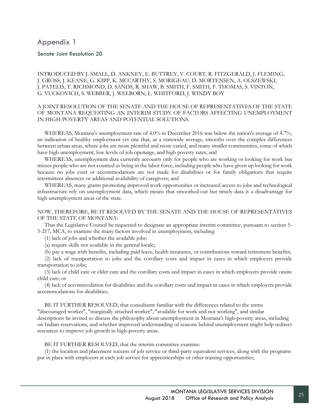## <span id="page-30-0"></span>Appendix 1

Senate Joint Resolution 20

#### INTRODUCED BY J. SMALL, D. ANKNEY, E. BUTTREY, V. COURT, R. FITZGERALD, J. FLEMING, J. GROSS, J. KEANE, G. KIPP, K. MCCARTHY, S. MORIGEAU, D. MORTENSEN, A. OLSZEWSKI, J. PATELIS, T. RICHMOND, D. SANDS, R. SHAW, B. SMITH, F. SMITH, F. THOMAS, S. VINTON, G. VUCKOVICH, S. WEBBER, J. WELBORN, L. WHITFORD, J. WINDY BOY

#### A JOINT RESOLUTION OF THE SENATE AND THE HOUSE OF REPRESENTATIVES OF THE STATE OF MONTANA REQUESTING AN INTERIM STUDY OF FACTORS AFFECTING UNEMPLOYMENT IN HIGH-POVERTY AREAS AND POTENTIAL SOLUTIONS.

WHEREAS, Montana's unemployment rate of 4.0% in December 2016 was below the nation's average of 4.7%, an indication of healthy employment yet one that, as a statewide average, smooths over the complex differences between urban areas, where jobs are more plentiful and more varied, and many smaller communities, some of which have high unemployment, low levels of job openings, and high poverty rates; and

WHEREAS, unemployment data currently accounts only for people who are working or looking for work but misses people who are not counted as being in the labor force, including people who have given up looking for work because no jobs exist or accommodations are not made for disabilities or for family obligations that require intermittent absences or additional availability of caregivers; and

WHEREAS, many grants promoting improved work opportunities or increased access to jobs and technological infrastructure rely on unemployment data, which means that smoothed-out but timely data is a disadvantage for high-unemployment areas of the state.

#### NOW, THEREFORE, BE IT RESOLVED BY THE SENATE AND THE HOUSE OF REPRESENTATIVES OF THE STATE OF MONTANA:

That the Legislative Council be requested to designate an appropriate interim committee, pursuant to section 5- 5-217, MCA, to examine the many factors involved in unemployment, including:

(1) lack of jobs and whether the available jobs:

(a) require skills not available in the general locale;

(b) pay a wage with benefits, including paid leave, health insurance, or contributions toward retirement benefits;

(2) lack of transportation to jobs and the corollary costs and impact in cases in which employers provide transportation to jobs;

(3) lack of child care or elder care and the corollary costs and impact in cases in which employers provide onsite child care; or

(4) lack of accommodation for disabilities and the corollary costs and impact in cases in which employers provide accommodations for disabilities.

BE IT FURTHER RESOLVED, that consultants familiar with the differences related to the terms "discouraged worker", "marginally attached worker", "available for work and not working", and similar descriptions be invited to discuss the philosophy about unemployment in Montana's high-poverty areas, including on Indian reservations, and whether improved understanding of reasons behind unemployment might help redirect resources to improve job growth in high-poverty areas.

BE IT FURTHER RESOLVED, that the interim committee examine:

(1) the location and placement success of job service or third-party equivalent services, along with the programs put in place with employers at each job service for apprenticeships or other training opportunities;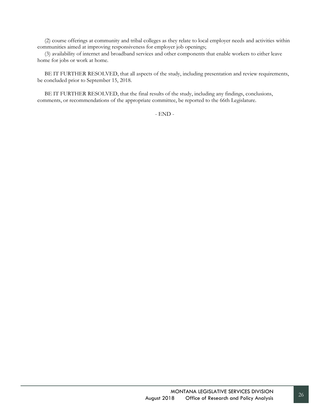(2) course offerings at community and tribal colleges as they relate to local employer needs and activities within communities aimed at improving responsiveness for employer job openings;

(3) availability of internet and broadband services and other components that enable workers to either leave home for jobs or work at home.

BE IT FURTHER RESOLVED, that all aspects of the study, including presentation and review requirements, be concluded prior to September 15, 2018.

BE IT FURTHER RESOLVED, that the final results of the study, including any findings, conclusions, comments, or recommendations of the appropriate committee, be reported to the 66th Legislature.

- END -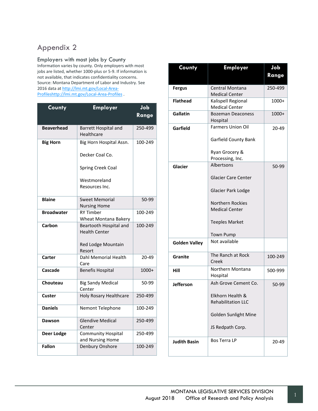## <span id="page-32-0"></span>Appendix 2

#### Employers with most jobs by County

Information varies by county. Only employers with most jobs are listed, whether 1000-plus or 5-9. If information is not available, that indicates confidentiality concerns. Source: Montana Department of Labor and Industry. See 2016 data at [http://lmi.mt.gov/Local-Area-](http://lmi.mt.gov/Local-Area-Profileshttp:/lmi.mt.gov/Local-Area-Profiles)[Profileshttp://lmi.mt.gov/Local-Area-Profiles](http://lmi.mt.gov/Local-Area-Profileshttp:/lmi.mt.gov/Local-Area-Profiles) .

| County            | <b>Employer</b>                                | dol<br>Range |
|-------------------|------------------------------------------------|--------------|
| <b>Beaverhead</b> | <b>Barrett Hospital and</b><br>Healthcare      | 250-499      |
| <b>Big Horn</b>   | Big Horn Hospital Assn.                        | 100-249      |
|                   | Decker Coal Co.                                |              |
|                   | <b>Spring Creek Coal</b>                       |              |
|                   | Westmoreland                                   |              |
|                   | Resources Inc.                                 |              |
| <b>Blaine</b>     | <b>Sweet Memorial</b>                          | 50-99        |
|                   | <b>Nursing Home</b>                            |              |
| <b>Broadwater</b> | <b>RY Timber</b><br>Wheat Montana Bakery       | 100-249      |
| Carbon            | Beartooth Hospital and<br><b>Health Center</b> | 100-249      |
|                   | Red Lodge Mountain<br>Resort                   |              |
| Carter            | Dahl Memorial Health<br>Care                   | 20-49        |
| Cascade           | <b>Benefis Hospital</b>                        | $1000+$      |
| Chouteau          | <b>Big Sandy Medical</b><br>Center             | 50-99        |
| Custer            | <b>Holy Rosary Healthcare</b>                  | 250-499      |
| <b>Daniels</b>    | Nemont Telephone                               | 100-249      |
| Dawson            | <b>Glendive Medical</b><br>Center              | 250-499      |
| Deer Lodge        | <b>Community Hospital</b><br>and Nursing Home  | 250-499      |
| <b>Fallon</b>     | Denbury Onshore                                | 100-249      |

| County               | <b>Employer</b>                                 | Job     |
|----------------------|-------------------------------------------------|---------|
|                      |                                                 | Range   |
| <b>Fergus</b>        | <b>Central Montana</b><br><b>Medical Center</b> | 250-499 |
| <b>Flathead</b>      | Kalispell Regional<br><b>Medical Center</b>     | 1000+   |
| Gallatin             | <b>Bozeman Deaconess</b><br>Hospital            | 1000+   |
| Garfield             | <b>Farmers Union Oil</b>                        | 20-49   |
|                      | Garfield County Bank                            |         |
|                      | Ryan Grocery &<br>Processing, Inc.              |         |
| Glacier              | Albertsons                                      | 50-99   |
|                      | <b>Glacier Care Center</b>                      |         |
|                      | Glacier Park Lodge                              |         |
|                      | Northern Rockies                                |         |
|                      | <b>Medical Center</b>                           |         |
|                      | <b>Teeples Market</b>                           |         |
|                      | <b>Town Pump</b>                                |         |
| <b>Golden Valley</b> | Not available                                   |         |
| <b>Granite</b>       | The Ranch at Rock<br>Creek                      | 100-249 |
| Hill                 | Northern Montana<br>Hospital                    | 500-999 |
| <b>Jefferson</b>     | Ash Grove Cement Co.                            | 50-99   |
|                      | Elkhorn Health &<br><b>Rehabilitation LLC</b>   |         |
|                      | <b>Golden Sunlight Mine</b>                     |         |
|                      | JS Redpath Corp.                                |         |
| <b>Judith Basin</b>  | <b>Bos Terra LP</b>                             | 20-49   |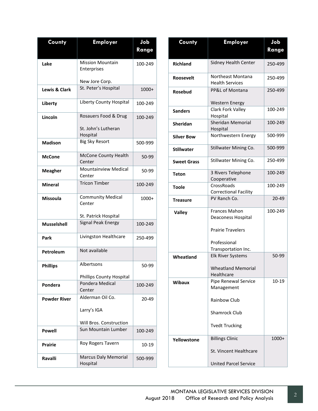| County              | <b>Employer</b>                         | Job<br>Range |
|---------------------|-----------------------------------------|--------------|
|                     |                                         |              |
| Lake                | <b>Mission Mountain</b><br>Enterprises  | 100-249      |
|                     |                                         |              |
|                     | New Jore Corp.                          |              |
| Lewis & Clark       | St. Peter's Hospital                    | 1000+        |
| Liberty             | Liberty County Hospital                 | 100-249      |
| Lincoln             | Rosauers Food & Drug                    | 100-249      |
|                     | St. John's Lutheran<br>Hospital         |              |
| <b>Madison</b>      | <b>Big Sky Resort</b>                   | 500-999      |
| McCone              | <b>McCone County Health</b><br>Center   | 50-99        |
| <b>Meagher</b>      | <b>Mountainview Medical</b><br>Center   | 50-99        |
| <b>Mineral</b>      | <b>Tricon Timber</b>                    | 100-249      |
| <b>Missoula</b>     | <b>Community Medical</b><br>Center      | $1000+$      |
|                     | St. Patrick Hospital                    |              |
| <b>Musselshell</b>  | Signal Peak Energy                      | 100-249      |
| Park                | Livingston Healthcare                   | 250-499      |
| Petroleum           | Not available                           |              |
| <b>Phillips</b>     | Albertsons                              | 50-99        |
|                     | <b>Phillips County Hospital</b>         |              |
| Pondera             | Pondera Medical<br>Center               | 100-249      |
| <b>Powder River</b> | Alderman Oil Co.                        | 20-49        |
|                     | Larry's IGA                             |              |
|                     | Will Bros. Construction                 |              |
| Powell              | Sun Mountain Lumber                     | 100-249      |
| Prairie             | Roy Rogers Tavern                       | 10-19        |
| Ravalli             | <b>Marcus Daly Memorial</b><br>Hospital | 500-999      |

| County             | <b>Employer</b>                                                                        | Job     |
|--------------------|----------------------------------------------------------------------------------------|---------|
|                    |                                                                                        | Range   |
| <b>Richland</b>    | Sidney Health Center                                                                   | 250-499 |
| <b>Roosevelt</b>   | Northeast Montana<br><b>Health Services</b>                                            | 250-499 |
| <b>Rosebud</b>     | PP&L of Montana                                                                        | 250-499 |
|                    | <b>Western Energy</b>                                                                  |         |
| <b>Sanders</b>     | Clark Fork Valley<br>Hospital                                                          | 100-249 |
| Sheridan           | <b>Sheridan Memorial</b><br>Hospital                                                   | 100-249 |
| <b>Silver Bow</b>  | Northwestern Energy                                                                    | 500-999 |
| <b>Stillwater</b>  | Stillwater Mining Co.                                                                  | 500-999 |
| <b>Sweet Grass</b> | Stillwater Mining Co.                                                                  | 250-499 |
| Teton              | 3 Rivers Telephone                                                                     | 100-249 |
|                    | Cooperative                                                                            |         |
| <b>Toole</b>       | CrossRoads<br><b>Correctional Facility</b>                                             | 100-249 |
| <b>Treasure</b>    | PV Ranch Co.                                                                           | 20-49   |
| <b>Valley</b>      | <b>Frances Mahon</b><br>Deaconess Hospital<br><b>Prairie Travelers</b><br>Professional | 100-249 |
|                    | Transportation Inc.                                                                    |         |
| Wheatland          | <b>Elk River Systems</b><br><b>Wheatland Memorial</b><br>Healthcare                    | 50-99   |
| Wibaux             | Pipe Renewal Service<br>Management<br>Rainbow Club<br>Shamrock Club                    | 10-19   |
|                    | <b>Tvedt Trucking</b>                                                                  |         |
| Yellowstone        | <b>Billings Clinic</b><br>St. Vincent Healthcare<br><b>United Parcel Service</b>       | 1000+   |
|                    |                                                                                        |         |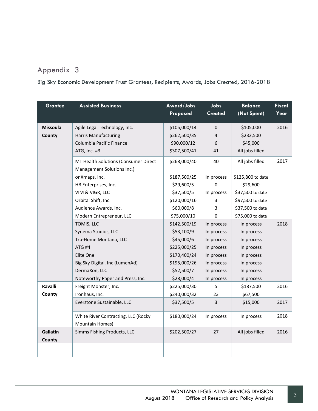## <span id="page-34-0"></span>Appendix 3

Big Sky Economic Development Trust Grantees, Recipients, Awards, Jobs Created, 2016-2018

| <b>Grantee</b>     | <b>Assisted Business</b>             | Award/Jobs<br>Proposed | Jobs<br><b>Created</b> | <b>Balance</b><br>(Not Spent) | <b>Fiscal</b><br>Year |
|--------------------|--------------------------------------|------------------------|------------------------|-------------------------------|-----------------------|
| <b>Missoula</b>    | Agile Legal Technology, Inc.         | \$105,000/14           | $\mathbf{0}$           | \$105,000                     | 2016                  |
| County             | <b>Harris Manufacturing</b>          | \$262,500/35           | 4                      | \$232,500                     |                       |
|                    | Columbia Pacific Finance             | \$90,000/12            | 6                      | \$45,000                      |                       |
|                    | ATG, Inc. #3                         | \$307,500/41           | 41                     | All jobs filled               |                       |
|                    | MT Health Solutions (Consumer Direct | \$268,000/40           | 40                     | All jobs filled               | 2017                  |
|                    | Management Solutions Inc.)           |                        |                        |                               |                       |
|                    | onXmaps, Inc.                        | \$187,500/25           | In process             | \$125,800 to date             |                       |
|                    | HB Enterprises, Inc.                 | \$29,600/5             | $\Omega$               | \$29,600                      |                       |
|                    | VIM & VIGR, LLC                      | \$37,500/5             | In process             | \$37,500 to date              |                       |
|                    | Orbital Shift, Inc.                  | \$120,000/16           | 3                      | \$97,500 to date              |                       |
|                    | Audience Awards, Inc.                | \$60,000/8             | 3                      | \$37,500 to date              |                       |
|                    | Modern Entrepreneur, LLC             | \$75,000/10            | 0                      | \$75,000 to date              |                       |
|                    | TOMIS, LLC                           | \$142,500/19           | In process             | In process                    | 2018                  |
|                    | Synema Studios, LLC                  | \$53,100/9             | In process             | In process                    |                       |
|                    | Tru-Home Montana, LLC                | \$45,000/6             | In process             | In process                    |                       |
|                    | ATG #4                               | \$225,000/25           | In process             | In process                    |                       |
|                    | Elite One                            | \$170,400/24           | In process             | In process                    |                       |
|                    | Big Sky Digital, Inc (LumenAd)       | \$195,000/26           | In process             | In process                    |                       |
|                    | DermaXon, LLC                        | \$52,500/7             | In process             | In process                    |                       |
|                    | Noteworthy Paper and Press, Inc.     | \$28,000/4             | In process             | In process                    |                       |
| <b>Ravalli</b>     | Freight Monster, Inc.                | \$225,000/30           | 5                      | \$187,500                     | 2016                  |
| County             | Ironhaus, Inc.                       | \$240,000/32           | 23                     | \$67,500                      |                       |
|                    | Everstone Sustainable, LLC           | \$37,500/5             | 3                      | \$15,000                      | 2017                  |
|                    | White River Contracting, LLC (Rocky  | \$180,000/24           | In process             | In process                    | 2018                  |
|                    | Mountain Homes)                      |                        |                        |                               |                       |
| Gallatin<br>County | Simms Fishing Products, LLC          | \$202,500/27           | 27                     | All jobs filled               | 2016                  |
|                    |                                      |                        |                        |                               |                       |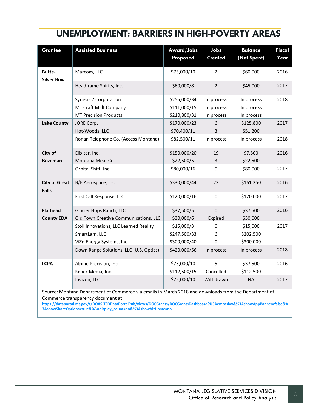| <b>Grantee</b>                                                                                                                            | <b>Assisted Business</b>                | Award/Jobs<br>Proposed | Jobs<br><b>Created</b> | <b>Balance</b><br>(Not Spent) | <b>Fiscal</b><br>Year |
|-------------------------------------------------------------------------------------------------------------------------------------------|-----------------------------------------|------------------------|------------------------|-------------------------------|-----------------------|
| <b>Butte-</b><br><b>Silver Bow</b>                                                                                                        | Marcom, LLC                             | \$75,000/10            | 2                      | \$60,000                      | 2016                  |
|                                                                                                                                           | Headframe Spirits, Inc.                 | \$60,000/8             | $\overline{2}$         | \$45,000                      | 2017                  |
|                                                                                                                                           | Synesis 7 Corporation                   | \$255,000/34           | In process             | In process                    | 2018                  |
|                                                                                                                                           | MT Craft Malt Company                   | \$111,000/15           | In process             | In process                    |                       |
|                                                                                                                                           | <b>MT Precision Products</b>            | \$210,800/31           | In process             | In process                    |                       |
| <b>Lake County</b>                                                                                                                        | JORE Corp.                              | \$170,000/23           | 6                      | \$125,800                     | 2017                  |
|                                                                                                                                           | Hot-Woods, LLC                          | \$70,400/11            | 3                      | \$51,200                      |                       |
|                                                                                                                                           | Ronan Telephone Co. (Access Montana)    | \$82,500/11            | In process             | In process                    | 2018                  |
| City of                                                                                                                                   | Elixiter, Inc.                          | \$150,000/20           | 19                     | \$7,500                       | 2016                  |
| <b>Bozeman</b>                                                                                                                            | Montana Meat Co.                        | \$22,500/5             | 3                      | \$22,500                      |                       |
|                                                                                                                                           | Orbital Shift, Inc.                     | \$80,000/16            | $\mathbf 0$            | \$80,000                      | 2017                  |
| <b>City of Great</b><br><b>Falls</b>                                                                                                      | B/E Aerospace, Inc.                     | \$330,000/44           | 22                     | \$161,250                     | 2016                  |
|                                                                                                                                           | First Call Response, LLC                | \$120,000/16           | $\mathbf 0$            | \$120,000                     | 2017                  |
| <b>Flathead</b>                                                                                                                           | Glacier Hops Ranch, LLC                 | \$37,500/5             | $\mathbf 0$            | \$37,500                      | 2016                  |
| <b>County EDA</b>                                                                                                                         | Old Town Creative Communications, LLC   | \$30,000/6             | Expired                | \$30,000                      |                       |
|                                                                                                                                           | Stoll Innovations, LLC Learned Reality  | \$15,000/3             | 0                      | \$15,000                      | 2017                  |
|                                                                                                                                           | SmartLam, LLC                           | \$247,500/33           | 6                      | \$202,500                     |                       |
|                                                                                                                                           | ViZn Energy Systems, Inc.               | \$300,000/40           | $\Omega$               | \$300,000                     |                       |
|                                                                                                                                           | Down Range Solutions, LLC (U.S. Optics) | \$420,000/56           | In process             | In process                    | 2018                  |
| <b>LCPA</b>                                                                                                                               | Alpine Precision, Inc.                  | \$75,000/10            | 5                      | \$37,500                      | 2016                  |
|                                                                                                                                           | Knack Media, Inc.                       | \$112,500/15           | Cancelled              | \$112,500                     |                       |
|                                                                                                                                           | Invizon, LLC                            | \$75,000/10            | Withdrawn              | <b>NA</b>                     | 2017                  |
| Source: Montana Department of Commerce via emails in March 2018 and downloads from the Department of<br>Commerce transparency document at |                                         |                        |                        |                               |                       |

**[https://dataportal.mt.gov/t/DOASITSDDataPortalPub/views/DOCGrants/DOCGrantsDashboard?%3Aembed=y&%3AshowAppBanner=false&%](https://dataportal.mt.gov/t/DOASITSDDataPortalPub/views/DOCGrants/DOCGrantsDashboard?%3Aembed=y&%3AshowAppBanner=false&%3AshowShareOptions=true&%3Adisplay_count=no&%3AshowVizHome=no) [3AshowShareOptions=true&%3Adisplay\\_count=no&%3AshowVizHome=no](https://dataportal.mt.gov/t/DOASITSDDataPortalPub/views/DOCGrants/DOCGrantsDashboard?%3Aembed=y&%3AshowAppBanner=false&%3AshowShareOptions=true&%3Adisplay_count=no&%3AshowVizHome=no)** .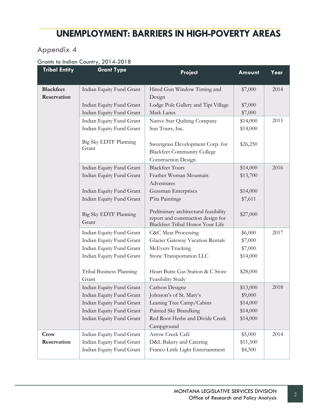## <span id="page-36-0"></span>Appendix 4

### Grants to Indian Country, 2014-2018

| <b>Tribal Entity</b> | <b>Grant Type</b>                 | Project                                                                                                         | Amount   | Year |
|----------------------|-----------------------------------|-----------------------------------------------------------------------------------------------------------------|----------|------|
| <b>Blackfeet</b>     | Indian Equity Fund Grant          | Hired Gun Window Tinting and                                                                                    | \$7,000  | 2014 |
| Reservation          |                                   | Design                                                                                                          |          |      |
|                      | Indian Equity Fund Grant          | Lodge Pole Gallery and Tipi Village                                                                             | \$7,000  |      |
|                      | Indian Equity Fund Grant          | Mark Lanes                                                                                                      | \$7,000  |      |
|                      | Indian Equity Fund Grant          | Native Star Quilting Company                                                                                    | \$14,000 | 2015 |
|                      | Indian Equity Fund Grant          | Sun Tours, Inc.                                                                                                 | \$14,000 |      |
|                      | Big Sky EDTF Planning<br>Grant    | Sweetgrass Development Corp. for<br><b>Blackfeet Community College</b><br><b>Construction Design</b>            | \$26,250 |      |
|                      | Indian Equity Fund Grant          | <b>Blackfeet Tours</b>                                                                                          | \$14,000 | 2016 |
|                      | Indian Equity Fund Grant          | Feather Woman Mountain                                                                                          | \$13,700 |      |
|                      |                                   | Adventures                                                                                                      |          |      |
|                      | Indian Equity Fund Grant          | Gussman Enterprises                                                                                             | \$14,000 |      |
|                      | Indian Equity Fund Grant          | P'ita Paintings                                                                                                 | \$7,611  |      |
|                      | Big Sky EDTF Planning<br>Grant    | Preliminary architectural feasibility<br>report and construction design for<br>Blackfeet Tribal Honor Your Life | \$27,000 |      |
|                      | Indian Equity Fund Grant          | <b>C&amp;C</b> Meat Processing                                                                                  | \$6,000  | 2017 |
|                      | Indian Equity Fund Grant          | Glacier Gateway Vacation Rentals                                                                                | \$7,000  |      |
|                      | Indian Equity Fund Grant          | McEvers Trucking                                                                                                | \$7,000  |      |
|                      | Indian Equity Fund Grant          | Stone Transportation LLC                                                                                        | \$14,000 |      |
|                      | Tribal Business Planning<br>Grant | Heart Butte Gas Station & C Store                                                                               | \$28,000 |      |
|                      | Indian Equity Fund Grant          | Feasibility Study<br>Carlson Designz                                                                            | \$13,000 | 2018 |
|                      | Indian Equity Fund Grant          | Johnson's of St. Mary's                                                                                         | \$9,000  |      |
|                      | Indian Equity Fund Grant          | Leaning Tree Camp/Cabins                                                                                        | \$14,000 |      |
|                      | Indian Equity Fund Grant          | Painted Sky Brandking                                                                                           | \$14,000 |      |
|                      | Indian Equity Fund Grant          | Red Root Herbs and Divide Creek                                                                                 | \$14,000 |      |
|                      |                                   | Campground                                                                                                      |          |      |
| Crow                 | Indian Equity Fund Grant          | Arrow Creek Café                                                                                                | \$5,000  | 2014 |
| Reservation          | Indian Equity Fund Grant          | D&L Bakery and Catering                                                                                         | \$11,500 |      |
|                      | Indian Equity Fund Grant          | Franco Little Light Entertainment                                                                               | \$4,500  |      |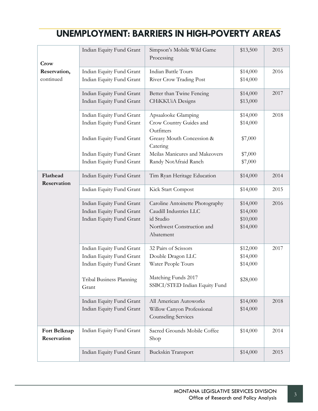| Crow                        | Indian Equity Fund Grant          | Simpson's Mobile Wild Game<br>Processing             | \$13,500 | 2015 |
|-----------------------------|-----------------------------------|------------------------------------------------------|----------|------|
| Reservation,                | Indian Equity Fund Grant          | <b>Indian Battle Tours</b>                           | \$14,000 | 2016 |
| continued                   | Indian Equity Fund Grant          | River Crow Trading Post                              | \$14,000 |      |
|                             | Indian Equity Fund Grant          | Better than Twine Fencing                            | \$14,000 | 2017 |
|                             | Indian Equity Fund Grant          | CHiKKUiA Designs                                     | \$13,000 |      |
|                             | Indian Equity Fund Grant          | Apsaalooke Glamping                                  | \$14,000 | 2018 |
|                             | Indian Equity Fund Grant          | Crow Country Guides and<br>Outfitters                | \$14,000 |      |
|                             | Indian Equity Fund Grant          | Greasy Mouth Concession &<br>Catering                | \$7,000  |      |
|                             | Indian Equity Fund Grant          | Meilas Manicures and Makeovers                       | \$7,000  |      |
|                             | Indian Equity Fund Grant          | Randy NotAfraid Ranch                                | \$7,000  |      |
| Flathead<br>Reservation     | Indian Equity Fund Grant          | Tim Ryan Heritage Education                          | \$14,000 | 2014 |
|                             | Indian Equity Fund Grant          | Kick Start Compost                                   | \$14,000 | 2015 |
|                             | Indian Equity Fund Grant          | Caroline Antoinette Photography                      | \$14,000 | 2016 |
|                             | Indian Equity Fund Grant          | Caudill Industries LLC                               | \$14,000 |      |
|                             | Indian Equity Fund Grant          | id Studio                                            | \$10,000 |      |
|                             |                                   | Northwest Construction and<br>Abatement              | \$14,000 |      |
|                             | Indian Equity Fund Grant          | 32 Pairs of Scissors                                 | \$12,000 | 2017 |
|                             | Indian Equity Fund Grant          | Double Dragon LLC                                    | \$14,000 |      |
|                             | Indian Equity Fund Grant          | Water People Tours                                   | \$14,000 |      |
|                             | Tribal Business Planning<br>Grant | Matching Funds 2017<br>SSBCI/STED Indian Equity Fund | \$28,000 |      |
|                             | Indian Equity Fund Grant          | All American Autoworks                               | \$14,000 | 2018 |
|                             | Indian Equity Fund Grant          | Willow Canyon Professional<br>Counseling Services    | \$14,000 |      |
| Fort Belknap<br>Reservation | Indian Equity Fund Grant          | Sacred Grounds Mobile Coffee<br>Shop                 | \$14,000 | 2014 |
|                             | Indian Equity Fund Grant          | Buckskin Transport                                   | \$14,000 | 2015 |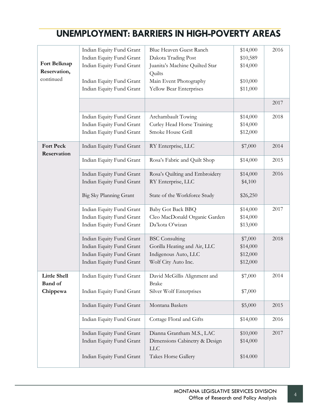|                  | Indian Equity Fund Grant | Blue Heaven Guest Ranch        | \$14,000 | 2016 |
|------------------|--------------------------|--------------------------------|----------|------|
|                  | Indian Equity Fund Grant | Dakota Trading Post            | \$10,589 |      |
| Fort Belknap     | Indian Equity Fund Grant | Juanita's Machine Quilted Star | \$14,000 |      |
| Reservation,     |                          | Quilts                         |          |      |
| continued        | Indian Equity Fund Grant | Main Event Photography         | \$10,000 |      |
|                  | Indian Equity Fund Grant | Yellow Bear Enterprises        | \$11,000 |      |
|                  |                          |                                |          |      |
|                  |                          |                                |          | 2017 |
|                  | Indian Equity Fund Grant | Archambault Towing             | \$14,000 | 2018 |
|                  | Indian Equity Fund Grant | Curley Head Horse Training     | \$14,000 |      |
|                  | Indian Equity Fund Grant | Smoke House Grill              | \$12,000 |      |
|                  |                          |                                |          |      |
| <b>Fort Peck</b> | Indian Equity Fund Grant | RY Enterprise, LLC             | \$7,000  | 2014 |
| Reservation      | Indian Equity Fund Grant | Rosa's Fabric and Quilt Shop   | \$14,000 | 2015 |
|                  |                          |                                |          |      |
|                  | Indian Equity Fund Grant | Rosa's Quilting and Embroidery | \$14,000 | 2016 |
|                  | Indian Equity Fund Grant | RY Enterprise, LLC             | \$4,100  |      |
|                  |                          |                                |          |      |
|                  | Big Sky Planning Grant   | State of the Workforce Study   | \$26,250 |      |
|                  | Indian Equity Fund Grant | <b>Baby Got Back BBQ</b>       | \$14,000 | 2017 |
|                  | Indian Equity Fund Grant | Cleo MacDonald Organic Garden  | \$14,000 |      |
|                  | Indian Equity Fund Grant | Da'kota O'wizan                | \$13,000 |      |
|                  |                          |                                |          |      |
|                  | Indian Equity Fund Grant | <b>BSC</b> Consulting          | \$7,000  | 2018 |
|                  | Indian Equity Fund Grant | Gorilla Heating and Air, LLC   | \$14,000 |      |
|                  | Indian Equity Fund Grant | Indigenous Auto, LLC           | \$12,000 |      |
|                  | Indian Equity Fund Grant | Wolf City Auto Inc.            | \$12,000 |      |
| Little Shell     | Indian Equity Fund Grant | David McGillis Alignment and   | \$7,000  | 2014 |
| <b>Band of</b>   |                          | <b>Brake</b>                   |          |      |
| Chippewa         | Indian Equity Fund Grant | Silver Wolf Enterprises        | \$7,000  |      |
|                  |                          |                                |          |      |
|                  | Indian Equity Fund Grant | Montana Baskets                | \$5,000  | 2015 |
|                  | Indian Equity Fund Grant | Cottage Floral and Gifts       | \$14,000 | 2016 |
|                  | Indian Equity Fund Grant | Dianna Grantham M.S., LAC      | \$10,000 | 2017 |
|                  | Indian Equity Fund Grant | Dimensions Cabinetry & Design  | \$14,000 |      |
|                  |                          | <b>LLC</b>                     |          |      |
|                  | Indian Equity Fund Grant | Takes Horse Gallery            | \$14.000 |      |
|                  |                          |                                |          |      |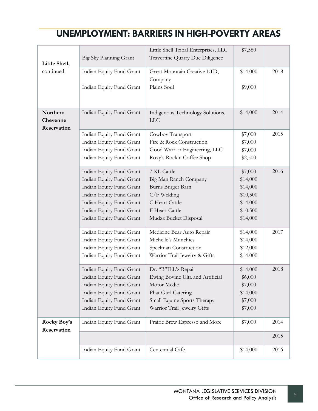| Little Shell,                       | Big Sky Planning Grant   | Little Shell Tribal Enterprises, LLC<br>Travertine Quarry Due Diligence | \$7,580  |      |
|-------------------------------------|--------------------------|-------------------------------------------------------------------------|----------|------|
| continued                           | Indian Equity Fund Grant | Great Mountain Creative LTD,<br>Company                                 | \$14,000 | 2018 |
|                                     | Indian Equity Fund Grant | Plains Soul                                                             | \$9,000  |      |
| Northern<br>Cheyenne<br>Reservation | Indian Equity Fund Grant | Indigenous Technology Solutions,<br><b>LLC</b>                          | \$14,000 | 2014 |
|                                     | Indian Equity Fund Grant | Cowboy Transport                                                        | \$7,000  | 2015 |
|                                     | Indian Equity Fund Grant | Fire & Rock Construction                                                | \$7,000  |      |
|                                     | Indian Equity Fund Grant | Good Warrior Engineering, LLC                                           | \$7,000  |      |
|                                     | Indian Equity Fund Grant | Roxy's Rockin Coffee Shop                                               | \$2,500  |      |
|                                     | Indian Equity Fund Grant | 7 XL Cattle                                                             | \$7,000  | 2016 |
|                                     | Indian Equity Fund Grant | Big Man Ranch Company                                                   | \$14,000 |      |
|                                     | Indian Equity Fund Grant | Burns Burger Barn                                                       | \$14,000 |      |
|                                     | Indian Equity Fund Grant | $C/F$ Welding                                                           | \$10,500 |      |
|                                     | Indian Equity Fund Grant | C Heart Cattle                                                          | \$14,000 |      |
|                                     | Indian Equity Fund Grant | F Heart Cattle                                                          | \$10,500 |      |
|                                     | Indian Equity Fund Grant | Mudzz Bucket Disposal                                                   | \$14,000 |      |
|                                     | Indian Equity Fund Grant | Medicine Bear Auto Repair                                               | \$14,000 | 2017 |
|                                     | Indian Equity Fund Grant | Michelle's Munchies                                                     | \$14,000 |      |
|                                     | Indian Equity Fund Grant | Speelman Construction                                                   | \$12,000 |      |
|                                     | Indian Equity Fund Grant | Warrior Trail Jewelry & Gifts                                           | \$14,000 |      |
|                                     | Indian Equity Fund Grant | Dr. "B"ILL'z Repair                                                     | \$14,000 | 2018 |
|                                     | Indian Equity Fund Grant | Ewing Bovine Ulta and Artificial                                        | \$6,000  |      |
|                                     | Indian Equity Fund Grant | Motor Medic                                                             | \$7,000  |      |
|                                     | Indian Equity Fund Grant | Phat Gurl Catering                                                      | \$14,000 |      |
|                                     | Indian Equity Fund Grant | Small Equine Sports Therapy                                             | \$7,000  |      |
|                                     | Indian Equity Fund Grant | Warrior Trail Jewelry Gifts                                             | \$7,000  |      |
| Rocky Boy's<br>Reservation          | Indian Equity Fund Grant | Prairie Brew Espresso and More                                          | \$7,000  | 2014 |
|                                     |                          |                                                                         |          | 2015 |
|                                     | Indian Equity Fund Grant | Centennial Cafe                                                         | \$14,000 | 2016 |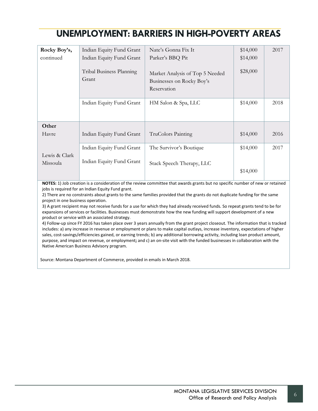| Rocky Boy's,              | Indian Equity Fund Grant          | Nate's Gonna Fix It                                                         | \$14,000 | 2017 |
|---------------------------|-----------------------------------|-----------------------------------------------------------------------------|----------|------|
| continued                 | Indian Equity Fund Grant          | Parker's BBQ Pit                                                            | \$14,000 |      |
|                           | Tribal Business Planning<br>Grant | Market Analysis of Top 5 Needed<br>Businesses on Rocky Boy's<br>Reservation | \$28,000 |      |
|                           | Indian Equity Fund Grant          | HM Salon & Spa, LLC                                                         | \$14,000 | 2018 |
| Other                     |                                   |                                                                             |          |      |
| Havre                     | Indian Equity Fund Grant          | TruColors Painting                                                          | \$14,000 | 2016 |
|                           | Indian Equity Fund Grant          | The Survivor's Boutique                                                     | \$14,000 | 2017 |
| Lewis & Clark<br>Missoula | Indian Equity Fund Grant          | Stack Speech Therapy, LLC                                                   | \$14,000 |      |
|                           |                                   |                                                                             |          |      |

**NOTES:** 1) Job creation is a consideration of the review committee that awards grants but no specific number of new or retained jobs is required for an Indian Equity Fund grant.

2) There are no constraints about grants to the same families provided that the grants do not duplicate funding for the same project in one business operation.

3) A grant recipient may not receive funds for a use for which they had already received funds. So repeat grants tend to be for expansions of services or facilities. Businesses must demonstrate how the new funding will support development of a new product or service with an associated strategy.

4) Follow-up since FY 2016 has taken place over 3 years annually from the grant project closeout. The information that is tracked includes: a) any increase in revenue or employment or plans to make capital outlays, increase inventory, expectations of higher sales, cost-savings/efficiencies gained, or earning trends; b) any additional borrowing activity, including loan product amount, purpose, and impact on revenue, or employment**;** and c) an on-site visit with the funded businesses in collaboration with the Native American Business Advisory program.

Source: Montana Department of Commerce, provided in emails in March 2018.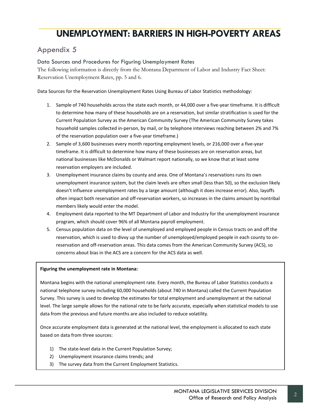## <span id="page-41-0"></span>Appendix 5

Data Sources and Procedures for Figuring Unemployment Rates

The following information is directly from the Montana Department of Labor and Industry Fact Sheet: Reservation Unemployment Rates, pp. 5 and 6.

Data Sources for the Reservation Unemployment Rates Using Bureau of Labor Statistics methodology:

- 1. Sample of 740 households across the state each month, or 44,000 over a five-year timeframe. It is difficult to determine how many of these households are on a reservation, but similar stratification is used for the Current Population Survey as the American Community Survey (The American Community Survey takes household samples collected in-person, by mail, or by telephone interviews reaching between 2% and 7% of the reservation population over a five-year timeframe.)
- 2. Sample of 3,600 businesses every month reporting employment levels, or 216,000 over a five-year timeframe. It is difficult to determine how many of these businesses are on reservation areas, but national businesses like McDonalds or Walmart report nationally, so we know that at least some reservation employers are included.
- 3. Unemployment insurance claims by county and area. One of Montana's reservations runs its own unemployment insurance system, but the claim levels are often small (less than 50), so the exclusion likely doesn't influence unemployment rates by a large amount (although it does increase error). Also, layoffs often impact both reservation and off-reservation workers, so increases in the claims amount by nontribal members likely would enter the model.
- 4. Employment data reported to the MT Department of Labor and Industry for the unemployment insurance program, which should cover 96% of all Montana payroll employment.
- 5. Census population data on the level of unemployed and employed people in Census tracts on and off the reservation, which is used to divvy up the number of unemployed/employed people in each county to onreservation and off-reservation areas. This data comes from the American Community Survey (ACS), so concerns about bias in the ACS are a concern for the ACS data as well.

#### **Figuring the unemployment rate in Montana:**

Montana begins with the national unemployment rate. Every month, the Bureau of Labor Statistics conducts a national telephone survey including 60,000 households (about 740 in Montana) called the Current Population Survey. This survey is used to develop the estimates for total employment and unemployment at the national level. The large sample allows for the national rate to be fairly accurate, especially when statistical models to use data from the previous and future months are also included to reduce volatility.

Once accurate employment data is generated at the national level, the employment is allocated to each state based on data from three sources:

- 1) The state-level data in the Current Population Survey;
- 2) Unemployment insurance claims trends; and
- 3) The survey data from the Current Employment Statistics.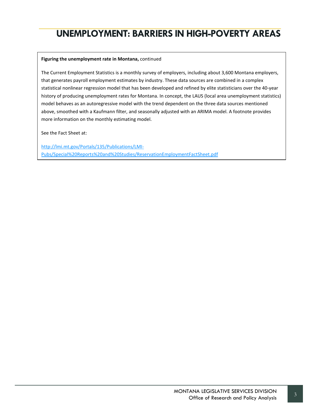#### **Figuring the unemployment rate in Montana,** continued

The Current Employment Statistics is a monthly survey of employers, including about 3,600 Montana employers, that generates payroll employment estimates by industry. These data sources are combined in a complex statistical nonlinear regression model that has been developed and refined by elite statisticians over the 40-year history of producing unemployment rates for Montana. In concept, the LAUS (local area unemployment statistics) model behaves as an autoregressive model with the trend dependent on the three data sources mentioned above, smoothed with a Kaufmann filter, and seasonally adjusted with an ARIMA model. A footnote provides more information on the monthly estimating model.

See the Fact Sheet at:

[http://lmi.mt.gov/Portals/135/Publications/LMI-](http://lmi.mt.gov/Portals/135/Publications/LMI-Pubs/Special%20Reports%20and%20Studies/ReservationEmploymentFactSheet.pdf)[Pubs/Special%20Reports%20and%20Studies/ReservationEmploymentFactSheet.pdf](http://lmi.mt.gov/Portals/135/Publications/LMI-Pubs/Special%20Reports%20and%20Studies/ReservationEmploymentFactSheet.pdf)